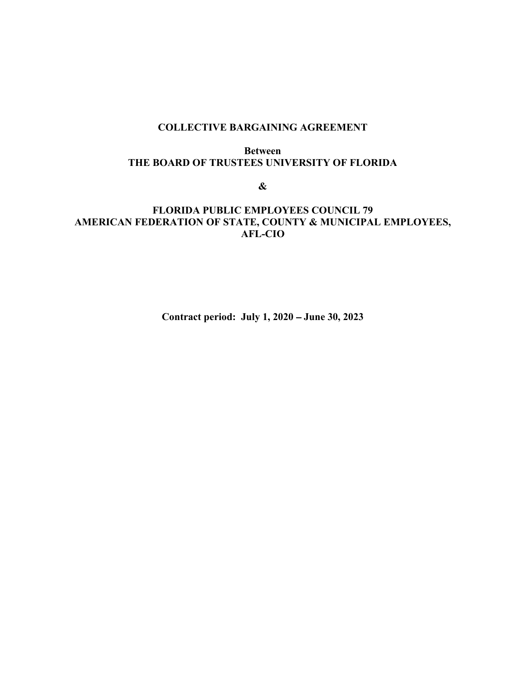# COLLECTIVE BARGAINING AGREEMENT

#### Between THE BOARD OF TRUSTEES UNIVERSITY OF FLORIDA

 $\&$ 

# FLORIDA PUBLIC EMPLOYEES COUNCIL 79 AMERICAN FEDERATION OF STATE, COUNTY & MUNICIPAL EMPLOYEES, AFL-CIO

Contract period: July 1, 2020 – June 30, 2023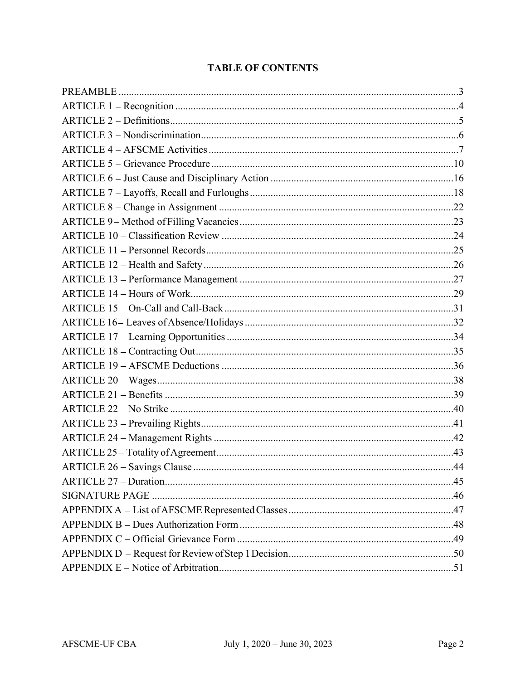# **TABLE OF CONTENTS**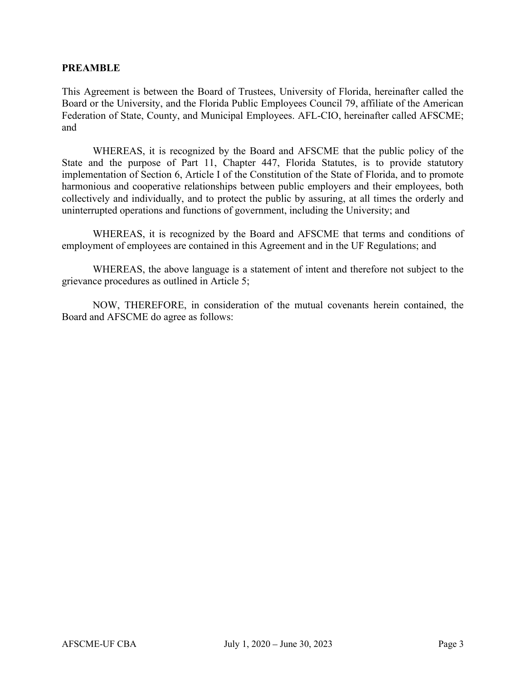#### PREAMBLE

This Agreement is between the Board of Trustees, University of Florida, hereinafter called the Board or the University, and the Florida Public Employees Council 79, affiliate of the American Federation of State, County, and Municipal Employees. AFL-CIO, hereinafter called AFSCME; and

 WHEREAS, it is recognized by the Board and AFSCME that the public policy of the State and the purpose of Part 11, Chapter 447, Florida Statutes, is to provide statutory implementation of Section 6, Article I of the Constitution of the State of Florida, and to promote harmonious and cooperative relationships between public employers and their employees, both collectively and individually, and to protect the public by assuring, at all times the orderly and uninterrupted operations and functions of government, including the University; and

 WHEREAS, it is recognized by the Board and AFSCME that terms and conditions of employment of employees are contained in this Agreement and in the UF Regulations; and

 WHEREAS, the above language is a statement of intent and therefore not subject to the grievance procedures as outlined in Article 5;

 NOW, THEREFORE, in consideration of the mutual covenants herein contained, the Board and AFSCME do agree as follows: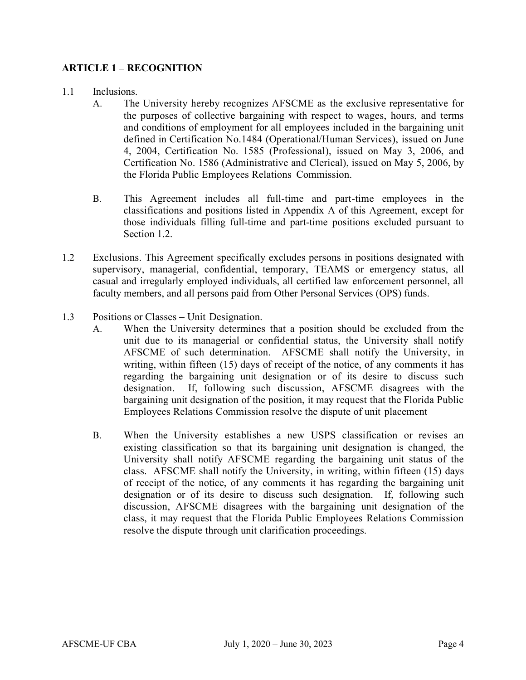# ARTICLE 1 – RECOGNITION

- 1.1 Inclusions.
	- A. The University hereby recognizes AFSCME as the exclusive representative for the purposes of collective bargaining with respect to wages, hours, and terms and conditions of employment for all employees included in the bargaining unit defined in Certification No.1484 (Operational/Human Services), issued on June 4, 2004, Certification No. 1585 (Professional), issued on May 3, 2006, and Certification No. 1586 (Administrative and Clerical), issued on May 5, 2006, by the Florida Public Employees Relations Commission.
	- B. This Agreement includes all full-time and part-time employees in the classifications and positions listed in Appendix A of this Agreement, except for those individuals filling full-time and part-time positions excluded pursuant to Section 1.2.
- 1.2 Exclusions. This Agreement specifically excludes persons in positions designated with supervisory, managerial, confidential, temporary, TEAMS or emergency status, all casual and irregularly employed individuals, all certified law enforcement personnel, all faculty members, and all persons paid from Other Personal Services (OPS) funds.
- 1.3 Positions or Classes Unit Designation.
	- A. When the University determines that a position should be excluded from the unit due to its managerial or confidential status, the University shall notify AFSCME of such determination. AFSCME shall notify the University, in writing, within fifteen (15) days of receipt of the notice, of any comments it has regarding the bargaining unit designation or of its desire to discuss such designation. If, following such discussion, AFSCME disagrees with the bargaining unit designation of the position, it may request that the Florida Public Employees Relations Commission resolve the dispute of unit placement
	- B. When the University establishes a new USPS classification or revises an existing classification so that its bargaining unit designation is changed, the University shall notify AFSCME regarding the bargaining unit status of the class. AFSCME shall notify the University, in writing, within fifteen (15) days of receipt of the notice, of any comments it has regarding the bargaining unit designation or of its desire to discuss such designation. If, following such discussion, AFSCME disagrees with the bargaining unit designation of the class, it may request that the Florida Public Employees Relations Commission resolve the dispute through unit clarification proceedings.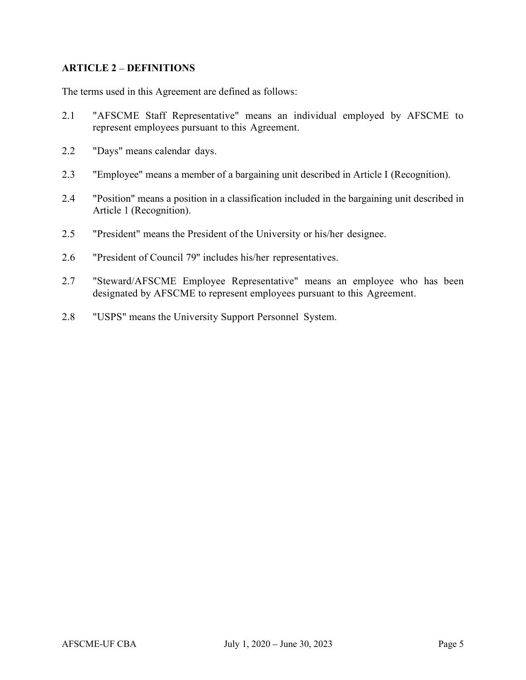# ARTICLE 2 - DEFINITIONS

The terms used in this Agreement are defined as follows:

- 2.1 "AFSCME Staff Representative" means an individual employed by AFSCME to represent employees pursuant to this Agreement.
- 2.2 "Days" means calendar days.
- 2.3 "Employee" means a member of a bargaining unit described in Article I (Recognition).
- 2.4 "Position" means a position in a classification included in the bargaining unit described in Article 1 (Recognition).
- 2.5 "President" means the President of the University or his/her designee.
- 2.6 "President of Council 79" includes his/her representatives.
- 2.7 "Steward/AFSCME Employee Representative" means an employee who has been designated by AFSCME to represent employees pursuant to this Agreement.
- 2.8 "USPS" means the University Support Personnel System.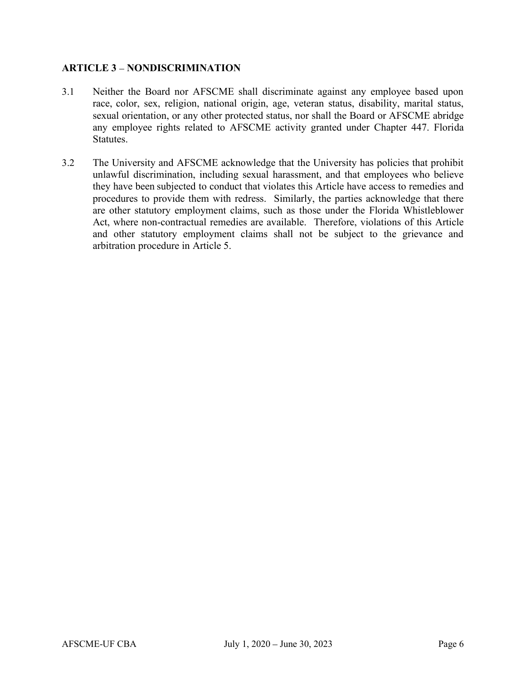# **ARTICLE 3 - NONDISCRIMINATION**

- 3.1 Neither the Board nor AFSCME shall discriminate against any employee based upon race, color, sex, religion, national origin, age, veteran status, disability, marital status, sexual orientation, or any other protected status, nor shall the Board or AFSCME abridge any employee rights related to AFSCME activity granted under Chapter 447. Florida Statutes.
- 3.2 The University and AFSCME acknowledge that the University has policies that prohibit unlawful discrimination, including sexual harassment, and that employees who believe they have been subjected to conduct that violates this Article have access to remedies and procedures to provide them with redress. Similarly, the parties acknowledge that there are other statutory employment claims, such as those under the Florida Whistleblower Act, where non-contractual remedies are available. Therefore, violations of this Article and other statutory employment claims shall not be subject to the grievance and arbitration procedure in Article 5.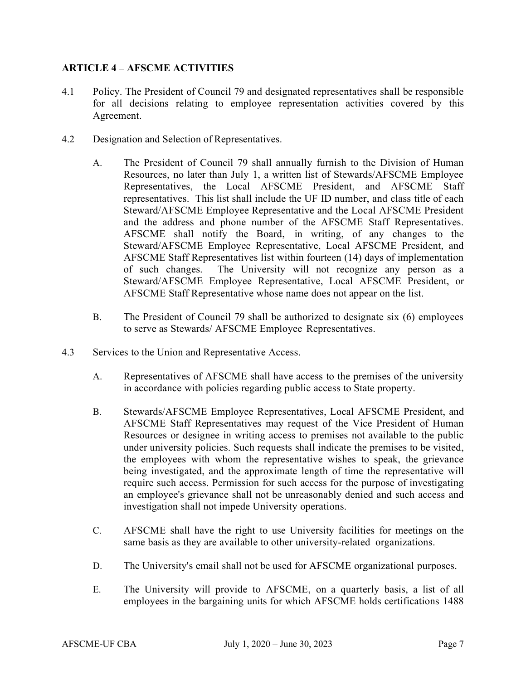# ARTICLE 4 – AFSCME ACTIVITIES

- 4.1 Policy. The President of Council 79 and designated representatives shall be responsible for all decisions relating to employee representation activities covered by this Agreement.
- 4.2 Designation and Selection of Representatives.
	- A. The President of Council 79 shall annually furnish to the Division of Human Resources, no later than July 1, a written list of Stewards/AFSCME Employee Representatives, the Local AFSCME President, and AFSCME Staff representatives. This list shall include the UF ID number, and class title of each Steward/AFSCME Employee Representative and the Local AFSCME President and the address and phone number of the AFSCME Staff Representatives. AFSCME shall notify the Board, in writing, of any changes to the Steward/AFSCME Employee Representative, Local AFSCME President, and AFSCME Staff Representatives list within fourteen (14) days of implementation of such changes. The University will not recognize any person as a Steward/AFSCME Employee Representative, Local AFSCME President, or AFSCME Staff Representative whose name does not appear on the list.
	- B. The President of Council 79 shall be authorized to designate six (6) employees to serve as Stewards/ AFSCME Employee Representatives.
- 4.3 Services to the Union and Representative Access.
	- A. Representatives of AFSCME shall have access to the premises of the university in accordance with policies regarding public access to State property.
	- B. Stewards/AFSCME Employee Representatives, Local AFSCME President, and AFSCME Staff Representatives may request of the Vice President of Human Resources or designee in writing access to premises not available to the public under university policies. Such requests shall indicate the premises to be visited, the employees with whom the representative wishes to speak, the grievance being investigated, and the approximate length of time the representative will require such access. Permission for such access for the purpose of investigating an employee's grievance shall not be unreasonably denied and such access and investigation shall not impede University operations.
	- C. AFSCME shall have the right to use University facilities for meetings on the same basis as they are available to other university-related organizations.
	- D. The University's email shall not be used for AFSCME organizational purposes.
	- E. The University will provide to AFSCME, on a quarterly basis, a list of all employees in the bargaining units for which AFSCME holds certifications 1488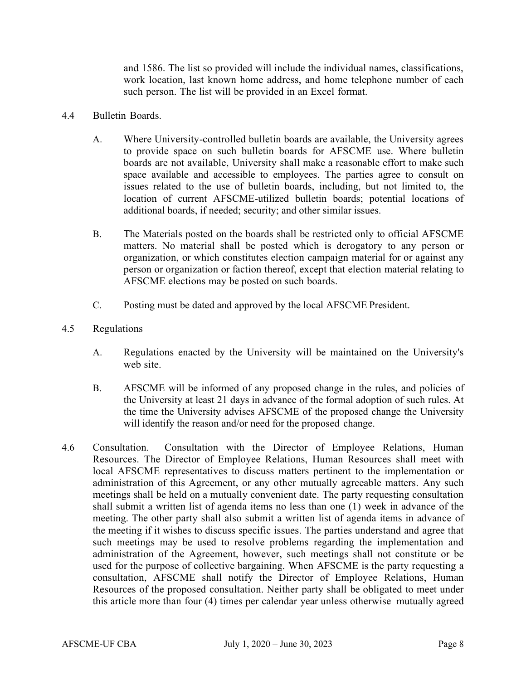and 1586. The list so provided will include the individual names, classifications, work location, last known home address, and home telephone number of each such person. The list will be provided in an Excel format.

- 4.4 Bulletin Boards.
	- A. Where University-controlled bulletin boards are available, the University agrees to provide space on such bulletin boards for AFSCME use. Where bulletin boards are not available, University shall make a reasonable effort to make such space available and accessible to employees. The parties agree to consult on issues related to the use of bulletin boards, including, but not limited to, the location of current AFSCME-utilized bulletin boards; potential locations of additional boards, if needed; security; and other similar issues.
	- B. The Materials posted on the boards shall be restricted only to official AFSCME matters. No material shall be posted which is derogatory to any person or organization, or which constitutes election campaign material for or against any person or organization or faction thereof, except that election material relating to AFSCME elections may be posted on such boards.
	- C. Posting must be dated and approved by the local AFSCME President.
- 4.5 Regulations
	- A. Regulations enacted by the University will be maintained on the University's web site.
	- B. AFSCME will be informed of any proposed change in the rules, and policies of the University at least 21 days in advance of the formal adoption of such rules. At the time the University advises AFSCME of the proposed change the University will identify the reason and/or need for the proposed change.
- 4.6 Consultation. Consultation with the Director of Employee Relations, Human Resources. The Director of Employee Relations, Human Resources shall meet with local AFSCME representatives to discuss matters pertinent to the implementation or administration of this Agreement, or any other mutually agreeable matters. Any such meetings shall be held on a mutually convenient date. The party requesting consultation shall submit a written list of agenda items no less than one (1) week in advance of the meeting. The other party shall also submit a written list of agenda items in advance of the meeting if it wishes to discuss specific issues. The parties understand and agree that such meetings may be used to resolve problems regarding the implementation and administration of the Agreement, however, such meetings shall not constitute or be used for the purpose of collective bargaining. When AFSCME is the party requesting a consultation, AFSCME shall notify the Director of Employee Relations, Human Resources of the proposed consultation. Neither party shall be obligated to meet under this article more than four (4) times per calendar year unless otherwise mutually agreed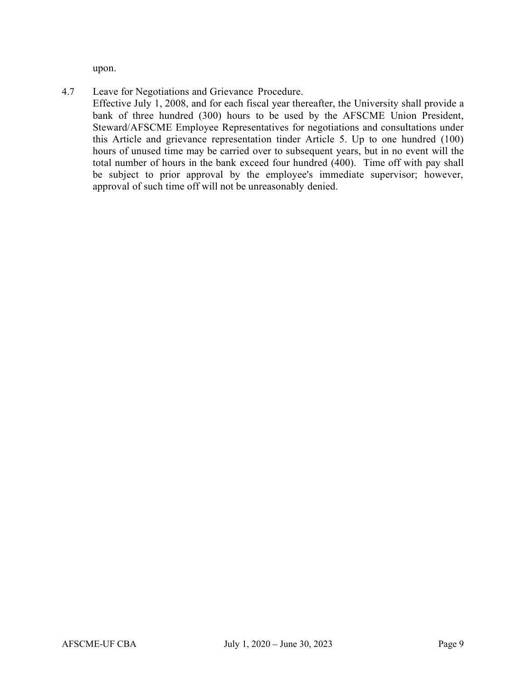upon.

4.7 Leave for Negotiations and Grievance Procedure.

Effective July 1, 2008, and for each fiscal year thereafter, the University shall provide a bank of three hundred (300) hours to be used by the AFSCME Union President, Steward/AFSCME Employee Representatives for negotiations and consultations under this Article and grievance representation tinder Article 5. Up to one hundred (100) hours of unused time may be carried over to subsequent years, but in no event will the total number of hours in the bank exceed four hundred (400). Time off with pay shall be subject to prior approval by the employee's immediate supervisor; however, approval of such time off will not be unreasonably denied.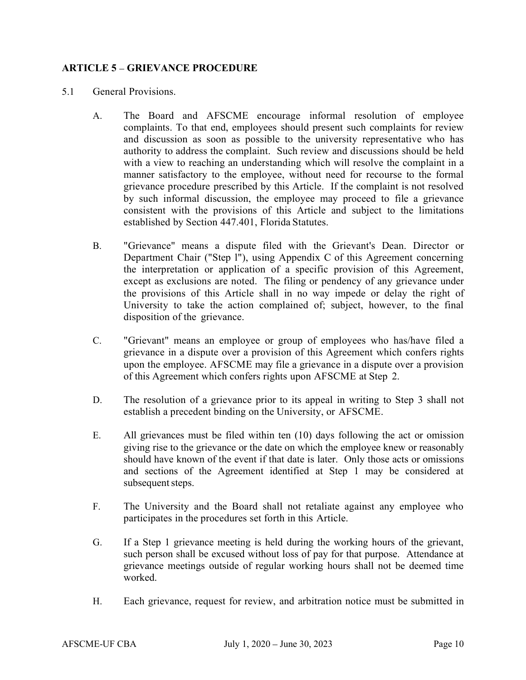# ARTICLE 5 – GRIEVANCE PROCEDURE

- 5.1 General Provisions.
	- A. The Board and AFSCME encourage informal resolution of employee complaints. To that end, employees should present such complaints for review and discussion as soon as possible to the university representative who has authority to address the complaint. Such review and discussions should be held with a view to reaching an understanding which will resolve the complaint in a manner satisfactory to the employee, without need for recourse to the formal grievance procedure prescribed by this Article. If the complaint is not resolved by such informal discussion, the employee may proceed to file a grievance consistent with the provisions of this Article and subject to the limitations established by Section 447.401, Florida Statutes.
	- B. "Grievance" means a dispute filed with the Grievant's Dean. Director or Department Chair ("Step l"), using Appendix C of this Agreement concerning the interpretation or application of a specific provision of this Agreement, except as exclusions are noted. The filing or pendency of any grievance under the provisions of this Article shall in no way impede or delay the right of University to take the action complained of; subject, however, to the final disposition of the grievance.
	- C. "Grievant" means an employee or group of employees who has/have filed a grievance in a dispute over a provision of this Agreement which confers rights upon the employee. AFSCME may file a grievance in a dispute over a provision of this Agreement which confers rights upon AFSCME at Step 2.
	- D. The resolution of a grievance prior to its appeal in writing to Step 3 shall not establish a precedent binding on the University, or AFSCME.
	- E. All grievances must be filed within ten (10) days following the act or omission giving rise to the grievance or the date on which the employee knew or reasonably should have known of the event if that date is later. Only those acts or omissions and sections of the Agreement identified at Step 1 may be considered at subsequent steps.
	- F. The University and the Board shall not retaliate against any employee who participates in the procedures set forth in this Article.
	- G. If a Step 1 grievance meeting is held during the working hours of the grievant, such person shall be excused without loss of pay for that purpose. Attendance at grievance meetings outside of regular working hours shall not be deemed time worked.
	- H. Each grievance, request for review, and arbitration notice must be submitted in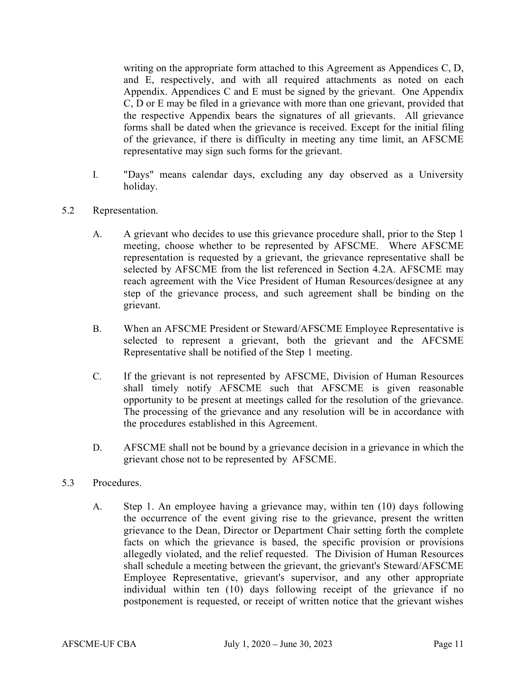writing on the appropriate form attached to this Agreement as Appendices C, D, and E, respectively, and with all required attachments as noted on each Appendix. Appendices C and E must be signed by the grievant. One Appendix C, D or E may be filed in a grievance with more than one grievant, provided that the respective Appendix bears the signatures of all grievants. All grievance forms shall be dated when the grievance is received. Except for the initial filing of the grievance, if there is difficulty in meeting any time limit, an AFSCME representative may sign such forms for the grievant.

- I. "Days" means calendar days, excluding any day observed as a University holiday.
- 5.2 Representation.
	- A. A grievant who decides to use this grievance procedure shall, prior to the Step 1 meeting, choose whether to be represented by AFSCME. Where AFSCME representation is requested by a grievant, the grievance representative shall be selected by AFSCME from the list referenced in Section 4.2A. AFSCME may reach agreement with the Vice President of Human Resources/designee at any step of the grievance process, and such agreement shall be binding on the grievant.
	- B. When an AFSCME President or Steward/AFSCME Employee Representative is selected to represent a grievant, both the grievant and the AFCSME Representative shall be notified of the Step 1 meeting.
	- C. If the grievant is not represented by AFSCME, Division of Human Resources shall timely notify AFSCME such that AFSCME is given reasonable opportunity to be present at meetings called for the resolution of the grievance. The processing of the grievance and any resolution will be in accordance with the procedures established in this Agreement.
	- D. AFSCME shall not be bound by a grievance decision in a grievance in which the grievant chose not to be represented by AFSCME.
- 5.3 Procedures.
	- A. Step 1. An employee having a grievance may, within ten (10) days following the occurrence of the event giving rise to the grievance, present the written grievance to the Dean, Director or Department Chair setting forth the complete facts on which the grievance is based, the specific provision or provisions allegedly violated, and the relief requested. The Division of Human Resources shall schedule a meeting between the grievant, the grievant's Steward/AFSCME Employee Representative, grievant's supervisor, and any other appropriate individual within ten (10) days following receipt of the grievance if no postponement is requested, or receipt of written notice that the grievant wishes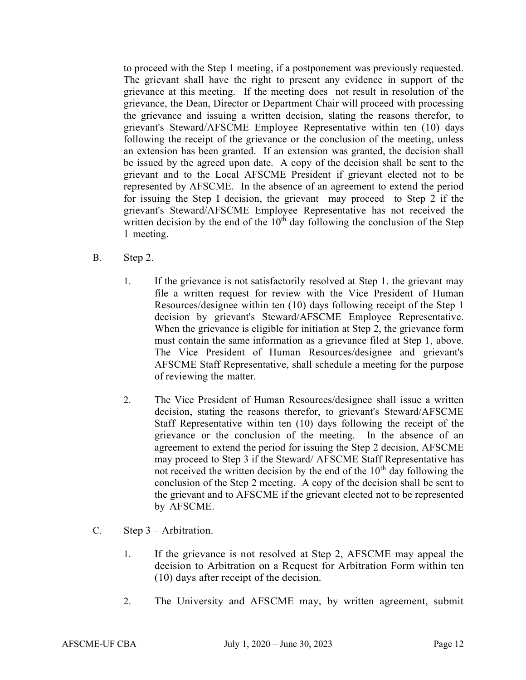to proceed with the Step 1 meeting, if a postponement was previously requested. The grievant shall have the right to present any evidence in support of the grievance at this meeting. If the meeting does not result in resolution of the grievance, the Dean, Director or Department Chair will proceed with processing the grievance and issuing a written decision, slating the reasons therefor, to grievant's Steward/AFSCME Employee Representative within ten (10) days following the receipt of the grievance or the conclusion of the meeting, unless an extension has been granted. If an extension was granted, the decision shall be issued by the agreed upon date. A copy of the decision shall be sent to the grievant and to the Local AFSCME President if grievant elected not to be represented by AFSCME. In the absence of an agreement to extend the period for issuing the Step I decision, the grievant may proceed to Step 2 if the grievant's Steward/AFSCME Employee Representative has not received the written decision by the end of the  $10<sup>th</sup>$  day following the conclusion of the Step 1 meeting.

- B. Step 2.
	- 1. If the grievance is not satisfactorily resolved at Step 1. the grievant may file a written request for review with the Vice President of Human Resources/designee within ten (10) days following receipt of the Step 1 decision by grievant's Steward/AFSCME Employee Representative. When the grievance is eligible for initiation at Step 2, the grievance form must contain the same information as a grievance filed at Step 1, above. The Vice President of Human Resources/designee and grievant's AFSCME Staff Representative, shall schedule a meeting for the purpose of reviewing the matter.
	- 2. The Vice President of Human Resources/designee shall issue a written decision, stating the reasons therefor, to grievant's Steward/AFSCME Staff Representative within ten (10) days following the receipt of the grievance or the conclusion of the meeting. In the absence of an agreement to extend the period for issuing the Step 2 decision, AFSCME may proceed to Step 3 if the Steward/ AFSCME Staff Representative has not received the written decision by the end of the  $10<sup>th</sup>$  day following the conclusion of the Step 2 meeting. A copy of the decision shall be sent to the grievant and to AFSCME if the grievant elected not to be represented by AFSCME.
- 
- C. Step  $3$  Arbitration.<br>1. If the grievance is not resolved at Step 2, AFSCME may appeal the decision to Arbitration on a Request for Arbitration Form within ten (10) days after receipt of the decision. 2. The University and AFSCME may, by written agreement, submit
	-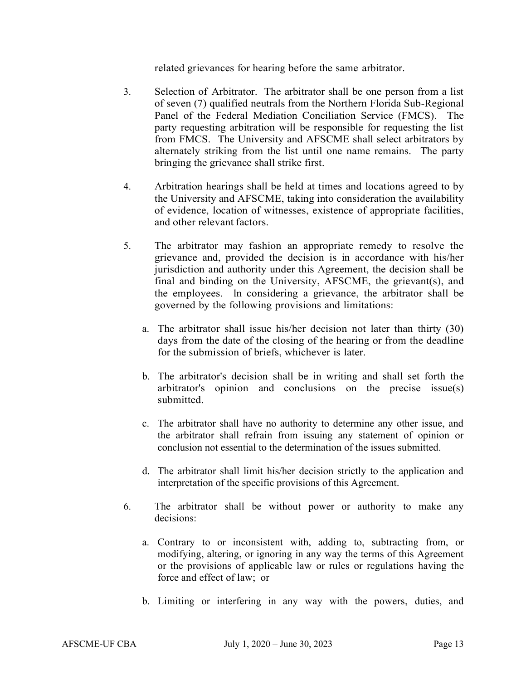- related grievances for hearing before the same arbitrator.<br>3. Selection of Arbitrator. The arbitrator shall be one person from a list of seven (7) qualified neutrals from the Northern Florida Sub-Regional Panel of the Federal Mediation Conciliation Service (FMCS). The party requesting arbitration will be responsible for requesting the list from FMCS. The University and AFSCME shall select arbitrators by alternately striking from the list until one name remains. The party bringing the grievance shall strike first.<br>4. Arbitration hearings shall be held at times and locations agreed to by
- the University and AFSCME, taking into consideration the availability of evidence, location of witnesses, existence of appropriate facilities, and other relevant factors. 5. The arbitrator may fashion an appropriate remedy to resolve the
- grievance and, provided the decision is in accordance with his/her jurisdiction and authority under this Agreement, the decision shall be final and binding on the University, AFSCME, the grievant(s), and the employees. ln considering a grievance, the arbitrator shall be governed by the following provisions and limitations: a. The arbitrator shall issue his/her decision not later than thirty (30)
	- days from the date of the closing of the hearing or from the deadline for the submission of briefs, whichever is later. b. The arbitrator's decision shall be in writing and shall set forth the
	- arbitrator's opinion and conclusions on the precise issue(s) submitted.<br>
	c. The arbitrator shall have no authority to determine any other issue, and
	- the arbitrator shall refrain from issuing any statement of opinion or conclusion not essential to the determination of the issues submitted.
	- d. The arbitrator shall limit his/her decision strictly to the application and interpretation of the specific provisions of this Agreement.
- 6. The arbitrator shall be without power or authority to make any decisions:
	- a. Contrary to or inconsistent with, adding to, subtracting from, or modifying, altering, or ignoring in any way the terms of this Agreement or the provisions of applicable law or rules or regulations having the force and effect of law; or
	- b. Limiting or interfering in any way with the powers, duties, and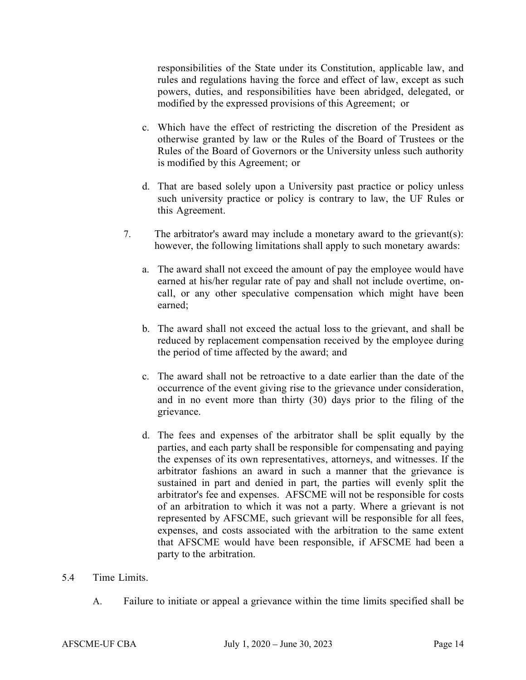responsibilities of the State under its Constitution, applicable law, and rules and regulations having the force and effect of law, except as such powers, duties, and responsibilities have been abridged, delegated, or modified by the expressed provisions of this Agreement; or

- c. Which have the effect of restricting the discretion of the President as otherwise granted by law or the Rules of the Board of Trustees or the Rules of the Board of Governors or the University unless such authority is modified by this Agreement; or
- d. That are based solely upon a University past practice or policy unless such university practice or policy is contrary to law, the UF Rules or this Agreement.
- 7. The arbitrator's award may include a monetary award to the grievant(s): however, the following limitations shall apply to such monetary awards:
	- a. The award shall not exceed the amount of pay the employee would have earned at his/her regular rate of pay and shall not include overtime, oncall, or any other speculative compensation which might have been earned;
	- b. The award shall not exceed the actual loss to the grievant, and shall be reduced by replacement compensation received by the employee during the period of time affected by the award; and
	- c. The award shall not be retroactive to a date earlier than the date of the occurrence of the event giving rise to the grievance under consideration, and in no event more than thirty (30) days prior to the filing of the grievance.
	- d. The fees and expenses of the arbitrator shall be split equally by the parties, and each party shall be responsible for compensating and paying the expenses of its own representatives, attorneys, and witnesses. If the arbitrator fashions an award in such a manner that the grievance is sustained in part and denied in part, the parties will evenly split the arbitrator's fee and expenses. AFSCME will not be responsible for costs of an arbitration to which it was not a party. Where a grievant is not represented by AFSCME, such grievant will be responsible for all fees, expenses, and costs associated with the arbitration to the same extent that AFSCME would have been responsible, if AFSCME had been a party to the arbitration.

#### 5.4 Time Limits.

A. Failure to initiate or appeal a grievance within the time limits specified shall be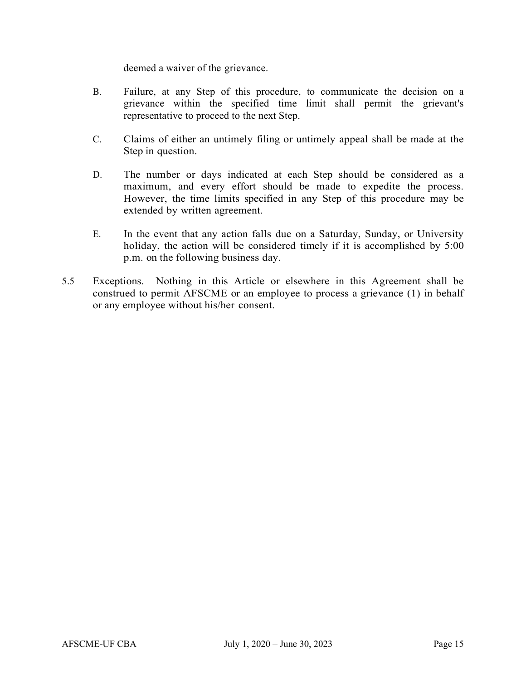deemed a waiver of the grievance.

- B. Failure, at any Step of this procedure, to communicate the decision on a grievance within the specified time limit shall permit the grievant's representative to proceed to the next Step.
- C. Claims of either an untimely filing or untimely appeal shall be made at the Step in question.
- D. The number or days indicated at each Step should be considered as a maximum, and every effort should be made to expedite the process. However, the time limits specified in any Step of this procedure may be extended by written agreement.
- E. In the event that any action falls due on a Saturday, Sunday, or University holiday, the action will be considered timely if it is accomplished by 5:00 p.m. on the following business day.
- 5.5 Exceptions. Nothing in this Article or elsewhere in this Agreement shall be construed to permit AFSCME or an employee to process a grievance (1) in behalf or any employee without his/her consent.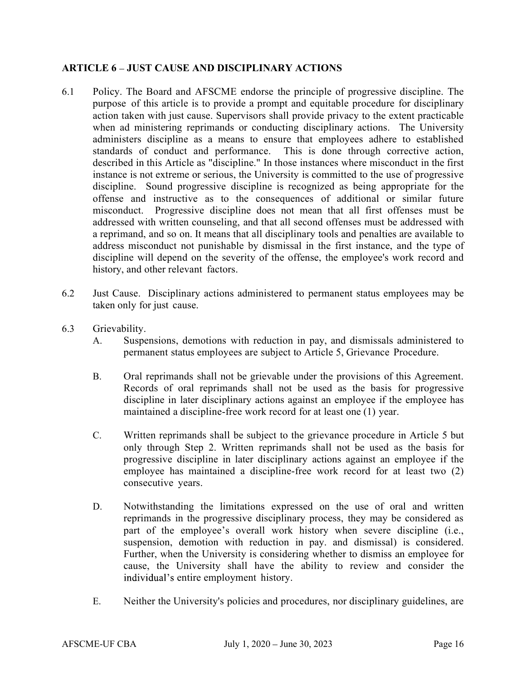# ARTICLE 6 – JUST CAUSE AND DISCIPLINARY ACTIONS

- 6.1 Policy. The Board and AFSCME endorse the principle of progressive discipline. The purpose of this article is to provide a prompt and equitable procedure for disciplinary action taken with just cause. Supervisors shall provide privacy to the extent practicable when ad ministering reprimands or conducting disciplinary actions. The University administers discipline as a means to ensure that employees adhere to established standards of conduct and performance. This is done through corrective action, described in this Article as "discipline." In those instances where misconduct in the first instance is not extreme or serious, the University is committed to the use of progressive discipline. Sound progressive discipline is recognized as being appropriate for the offense and instructive as to the consequences of additional or similar future misconduct. Progressive discipline does not mean that all first offenses must be addressed with written counseling, and that all second offenses must be addressed with a reprimand, and so on. It means that all disciplinary tools and penalties are available to address misconduct not punishable by dismissal in the first instance, and the type of discipline will depend on the severity of the offense, the employee's work record and history, and other relevant factors.
- 6.2 Just Cause. Disciplinary actions administered to permanent status employees may be taken only for just cause.
- 6.3 Grievability.
	- A. Suspensions, demotions with reduction in pay, and dismissals administered to permanent status employees are subject to Article 5, Grievance Procedure.
	- B. Oral reprimands shall not be grievable under the provisions of this Agreement. Records of oral reprimands shall not be used as the basis for progressive discipline in later disciplinary actions against an employee if the employee has maintained a discipline-free work record for at least one (1) year.
	- C. Written reprimands shall be subject to the grievance procedure in Article 5 but only through Step 2. Written reprimands shall not be used as the basis for progressive discipline in later disciplinary actions against an employee if the employee has maintained a discipline-free work record for at least two (2) consecutive years.
	- D. Notwithstanding the limitations expressed on the use of oral and written reprimands in the progressive disciplinary process, they may be considered as part of the employee's overall work history when severe discipline (i.e., suspension, demotion with reduction in pay. and dismissal) is considered. Further, when the University is considering whether to dismiss an employee for cause, the University shall have the ability to review and consider the individual's entire employment history.
	- E. Neither the University's policies and procedures, nor disciplinary guidelines, are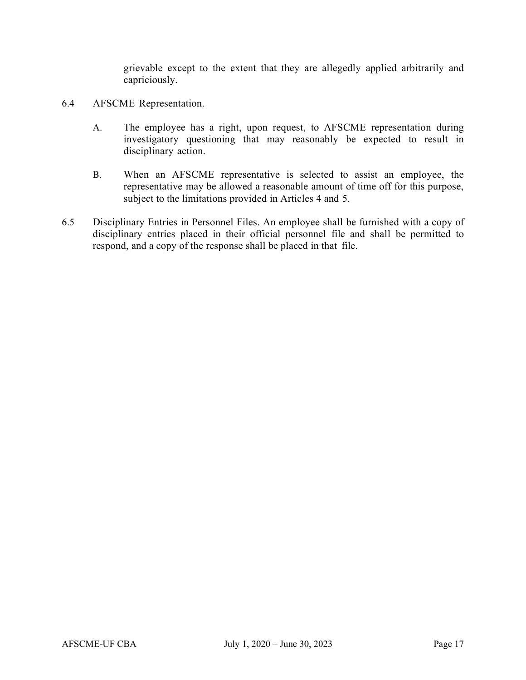grievable except to the extent that they are allegedly applied arbitrarily and capriciously.

- 6.4 AFSCME Representation.
	- A. The employee has a right, upon request, to AFSCME representation during investigatory questioning that may reasonably be expected to result in disciplinary action.
	- B. When an AFSCME representative is selected to assist an employee, the representative may be allowed a reasonable amount of time off for this purpose, subject to the limitations provided in Articles 4 and 5.
- 6.5 Disciplinary Entries in Personnel Files. An employee shall be furnished with a copy of disciplinary entries placed in their official personnel file and shall be permitted to respond, and a copy of the response shall be placed in that file.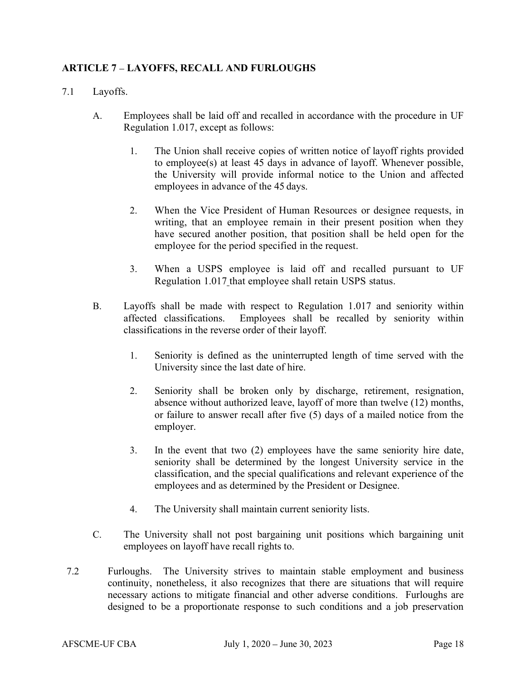# ARTICLE 7 LAYOFFS, RECALL AND FURLOUGHS

- 7.1 Layoffs.
	- A. Employees shall be laid off and recalled in accordance with the procedure in UF Regulation 1.017, except as follows:
		- 1. The Union shall receive copies of written notice of layoff rights provided to employee(s) at least 45 days in advance of layoff. Whenever possible, the University will provide informal notice to the Union and affected employees in advance of the 45 days.
		- 2. When the Vice President of Human Resources or designee requests, in writing, that an employee remain in their present position when they have secured another position, that position shall be held open for the employee for the period specified in the request.
		- 3. When a USPS employee is laid off and recalled pursuant to UF Regulation 1.017 that employee shall retain USPS status.
	- B. Layoffs shall be made with respect to Regulation 1.017 and seniority within affected classifications. Employees shall be recalled by seniority within classifications in the reverse order of their layoff.
		- 1. Seniority is defined as the uninterrupted length of time served with the University since the last date of hire.
		- 2. Seniority shall be broken only by discharge, retirement, resignation, absence without authorized leave, layoff of more than twelve (12) months, or failure to answer recall after five (5) days of a mailed notice from the employer.
		- 3. In the event that two (2) employees have the same seniority hire date, seniority shall be determined by the longest University service in the classification, and the special qualifications and relevant experience of the employees and as determined by the President or Designee.
		- 4. The University shall maintain current seniority lists.
	- C. The University shall not post bargaining unit positions which bargaining unit employees on layoff have recall rights to.
- 7.2 Furloughs. The University strives to maintain stable employment and business continuity, nonetheless, it also recognizes that there are situations that will require necessary actions to mitigate financial and other adverse conditions. Furloughs are designed to be a proportionate response to such conditions and a job preservation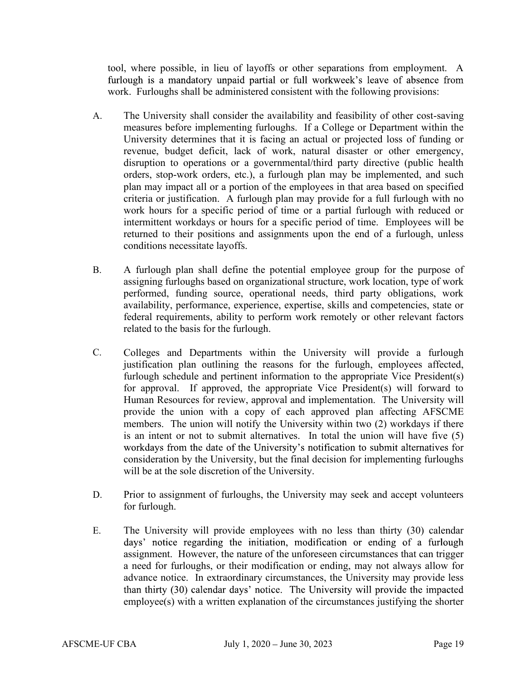tool, where possible, in lieu of layoffs or other separations from employment. A furlough is a mandatory unpaid partial or full workweek's leave of absence from work. Furloughs shall be administered consistent with the following provisions:

- A. The University shall consider the availability and feasibility of other cost-saving measures before implementing furloughs. If a College or Department within the University determines that it is facing an actual or projected loss of funding or revenue, budget deficit, lack of work, natural disaster or other emergency, disruption to operations or a governmental/third party directive (public health orders, stop-work orders, etc.), a furlough plan may be implemented, and such plan may impact all or a portion of the employees in that area based on specified criteria or justification. A furlough plan may provide for a full furlough with no work hours for a specific period of time or a partial furlough with reduced or intermittent workdays or hours for a specific period of time. Employees will be returned to their positions and assignments upon the end of a furlough, unless conditions necessitate layoffs.
- B. A furlough plan shall define the potential employee group for the purpose of assigning furloughs based on organizational structure, work location, type of work performed, funding source, operational needs, third party obligations, work availability, performance, experience, expertise, skills and competencies, state or federal requirements, ability to perform work remotely or other relevant factors related to the basis for the furlough.
- C. Colleges and Departments within the University will provide a furlough justification plan outlining the reasons for the furlough, employees affected, furlough schedule and pertinent information to the appropriate Vice President(s) for approval. If approved, the appropriate Vice President(s) will forward to Human Resources for review, approval and implementation. The University will provide the union with a copy of each approved plan affecting AFSCME members. The union will notify the University within two (2) workdays if there is an intent or not to submit alternatives. In total the union will have five (5) workdays from the date of the University's notification to submit alternatives for consideration by the University, but the final decision for implementing furloughs will be at the sole discretion of the University.
- D. Prior to assignment of furloughs, the University may seek and accept volunteers for furlough.
- E. The University will provide employees with no less than thirty (30) calendar days' notice regarding the initiation, modification or ending of a furlough assignment. However, the nature of the unforeseen circumstances that can trigger a need for furloughs, or their modification or ending, may not always allow for advance notice. In extraordinary circumstances, the University may provide less than thirty (30) calendar days' notice. The University will provide the impacted employee(s) with a written explanation of the circumstances justifying the shorter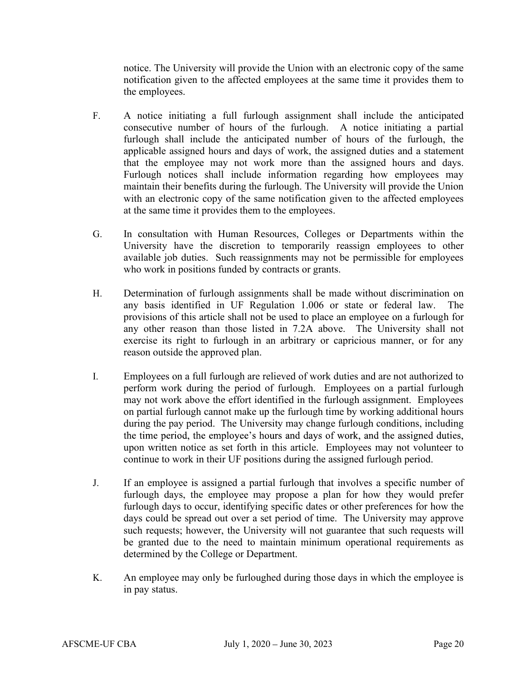notice. The University will provide the Union with an electronic copy of the same notification given to the affected employees at the same time it provides them to the employees.

- F. A notice initiating a full furlough assignment shall include the anticipated consecutive number of hours of the furlough. A notice initiating a partial furlough shall include the anticipated number of hours of the furlough, the applicable assigned hours and days of work, the assigned duties and a statement that the employee may not work more than the assigned hours and days. Furlough notices shall include information regarding how employees may maintain their benefits during the furlough. The University will provide the Union with an electronic copy of the same notification given to the affected employees at the same time it provides them to the employees.
- G. In consultation with Human Resources, Colleges or Departments within the University have the discretion to temporarily reassign employees to other available job duties. Such reassignments may not be permissible for employees who work in positions funded by contracts or grants.
- H. Determination of furlough assignments shall be made without discrimination on any basis identified in UF Regulation 1.006 or state or federal law. The provisions of this article shall not be used to place an employee on a furlough for any other reason than those listed in 7.2A above. The University shall not exercise its right to furlough in an arbitrary or capricious manner, or for any reason outside the approved plan.
- I. Employees on a full furlough are relieved of work duties and are not authorized to perform work during the period of furlough. Employees on a partial furlough may not work above the effort identified in the furlough assignment. Employees on partial furlough cannot make up the furlough time by working additional hours during the pay period. The University may change furlough conditions, including the time period, the employee's hours and days of work, and the assigned duties, upon written notice as set forth in this article. Employees may not volunteer to continue to work in their UF positions during the assigned furlough period.
- J. If an employee is assigned a partial furlough that involves a specific number of furlough days, the employee may propose a plan for how they would prefer furlough days to occur, identifying specific dates or other preferences for how the days could be spread out over a set period of time. The University may approve such requests; however, the University will not guarantee that such requests will be granted due to the need to maintain minimum operational requirements as determined by the College or Department.
- K. An employee may only be furloughed during those days in which the employee is in pay status.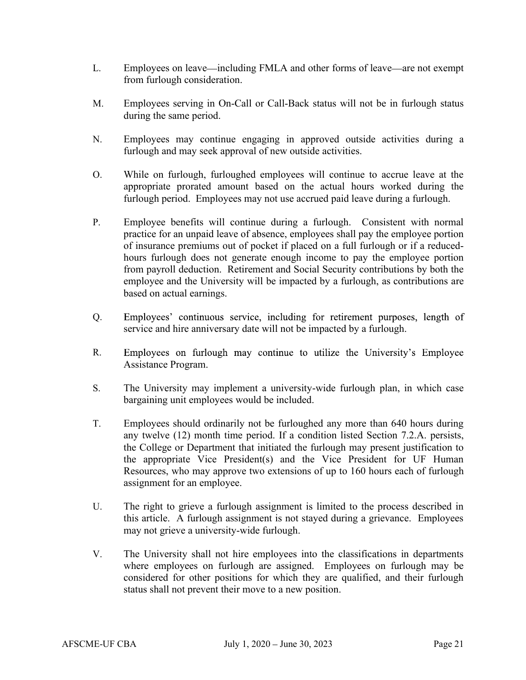- L. Employees on leave—including FMLA and other forms of leave—are not exempt from furlough consideration.
- M. Employees serving in On-Call or Call-Back status will not be in furlough status during the same period.
- N. Employees may continue engaging in approved outside activities during a furlough and may seek approval of new outside activities.
- O. While on furlough, furloughed employees will continue to accrue leave at the appropriate prorated amount based on the actual hours worked during the furlough period. Employees may not use accrued paid leave during a furlough.
- P. Employee benefits will continue during a furlough. Consistent with normal practice for an unpaid leave of absence, employees shall pay the employee portion of insurance premiums out of pocket if placed on a full furlough or if a reducedhours furlough does not generate enough income to pay the employee portion from payroll deduction. Retirement and Social Security contributions by both the employee and the University will be impacted by a furlough, as contributions are based on actual earnings.
- Q. Employees' continuous service, including for retirement purposes, length of service and hire anniversary date will not be impacted by a furlough.
- R. Employees on furlough may continue to utilize the University's Employee Assistance Program.
- S. The University may implement a university-wide furlough plan, in which case bargaining unit employees would be included.
- T. Employees should ordinarily not be furloughed any more than 640 hours during any twelve (12) month time period. If a condition listed Section 7.2.A. persists, the College or Department that initiated the furlough may present justification to the appropriate Vice President(s) and the Vice President for UF Human Resources, who may approve two extensions of up to 160 hours each of furlough assignment for an employee.
- U. The right to grieve a furlough assignment is limited to the process described in this article. A furlough assignment is not stayed during a grievance. Employees may not grieve a university-wide furlough.
- V. The University shall not hire employees into the classifications in departments where employees on furlough are assigned. Employees on furlough may be considered for other positions for which they are qualified, and their furlough status shall not prevent their move to a new position.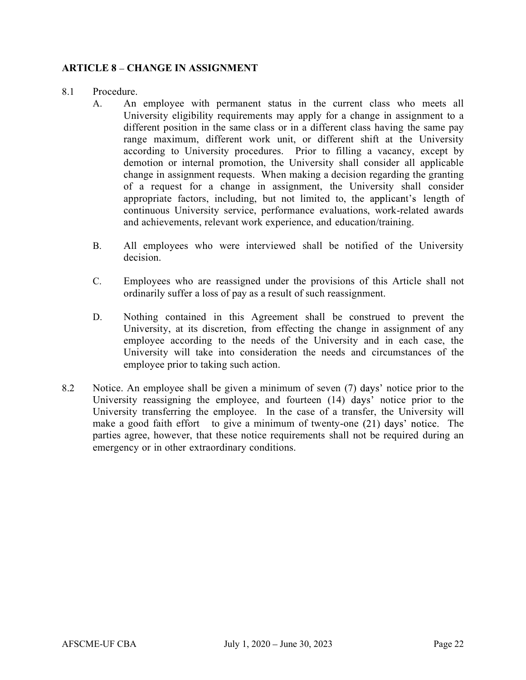#### ARTICLE 8 - CHANGE IN ASSIGNMENT

#### 8.1 Procedure.

- A. An employee with permanent status in the current class who meets all University eligibility requirements may apply for a change in assignment to a different position in the same class or in a different class having the same pay range maximum, different work unit, or different shift at the University according to University procedures. Prior to filling a vacancy, except by demotion or internal promotion, the University shall consider all applicable change in assignment requests. When making a decision regarding the granting of a request for a change in assignment, the University shall consider appropriate factors, including, but not limited to, the applicant's length of continuous University service, performance evaluations, work-related awards and achievements, relevant work experience, and education/training.
- B. All employees who were interviewed shall be notified of the University decision.
- C. Employees who are reassigned under the provisions of this Article shall not ordinarily suffer a loss of pay as a result of such reassignment.
- D. Nothing contained in this Agreement shall be construed to prevent the University, at its discretion, from effecting the change in assignment of any employee according to the needs of the University and in each case, the University will take into consideration the needs and circumstances of the employee prior to taking such action.
- 8.2 Notice. An employee shall be given a minimum of seven  $(7)$  days' notice prior to the University reassigning the employee, and fourteen  $(14)$  days' notice prior to the University transferring the employee. In the case of a transfer, the University will make a good faith effort to give a minimum of twenty-one  $(21)$  days' notice. The parties agree, however, that these notice requirements shall not be required during an emergency or in other extraordinary conditions.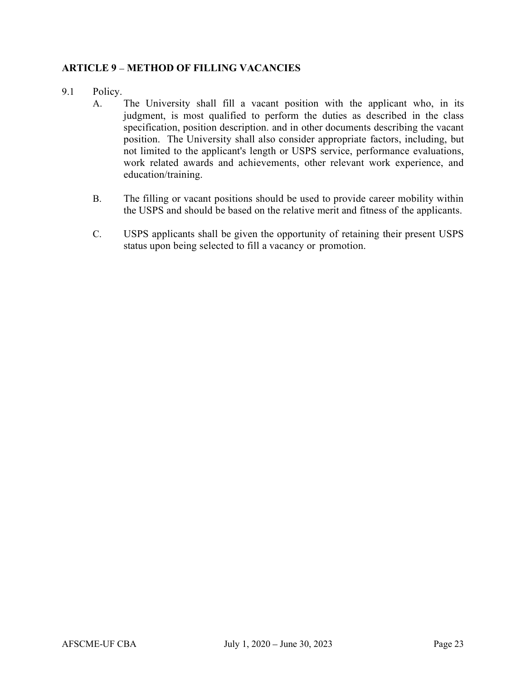#### **ARTICLE 9 - METHOD OF FILLING VACANCIES**

- 9.1 Policy.
	- A. The University shall fill a vacant position with the applicant who, in its judgment, is most qualified to perform the duties as described in the class specification, position description. and in other documents describing the vacant position. The University shall also consider appropriate factors, including, but not limited to the applicant's length or USPS service, performance evaluations, work related awards and achievements, other relevant work experience, and education/training.
	- B. The filling or vacant positions should be used to provide career mobility within the USPS and should be based on the relative merit and fitness of the applicants.
	- C. USPS applicants shall be given the opportunity of retaining their present USPS status upon being selected to fill a vacancy or promotion.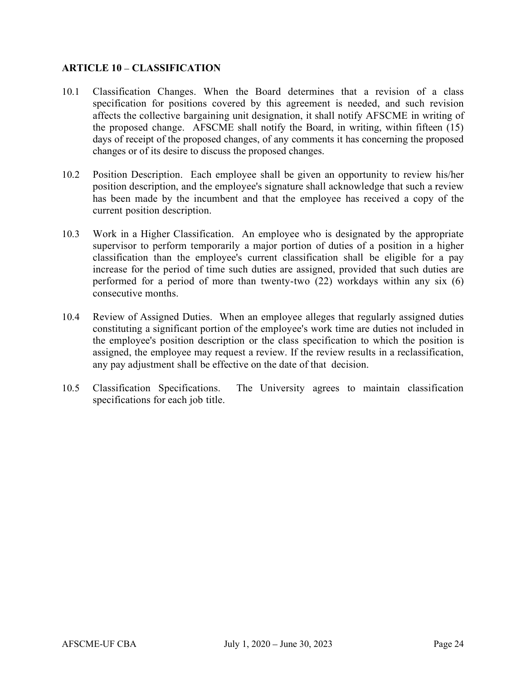#### ARTICLE 10 – CLASSIFICATION

- 10.1 Classification Changes. When the Board determines that a revision of a class specification for positions covered by this agreement is needed, and such revision affects the collective bargaining unit designation, it shall notify AFSCME in writing of the proposed change. AFSCME shall notify the Board, in writing, within fifteen (15) days of receipt of the proposed changes, of any comments it has concerning the proposed changes or of its desire to discuss the proposed changes.
- 10.2 Position Description. Each employee shall be given an opportunity to review his/her position description, and the employee's signature shall acknowledge that such a review has been made by the incumbent and that the employee has received a copy of the current position description.
- 10.3 Work in a Higher Classification. An employee who is designated by the appropriate supervisor to perform temporarily a major portion of duties of a position in a higher classification than the employee's current classification shall be eligible for a pay increase for the period of time such duties are assigned, provided that such duties are performed for a period of more than twenty-two (22) workdays within any six (6) consecutive months.
- 10.4 Review of Assigned Duties. When an employee alleges that regularly assigned duties constituting a significant portion of the employee's work time are duties not included in the employee's position description or the class specification to which the position is assigned, the employee may request a review. If the review results in a reclassification, any pay adjustment shall be effective on the date of that decision.
- 10.5 Classification Specifications. The University agrees to maintain classification specifications for each job title.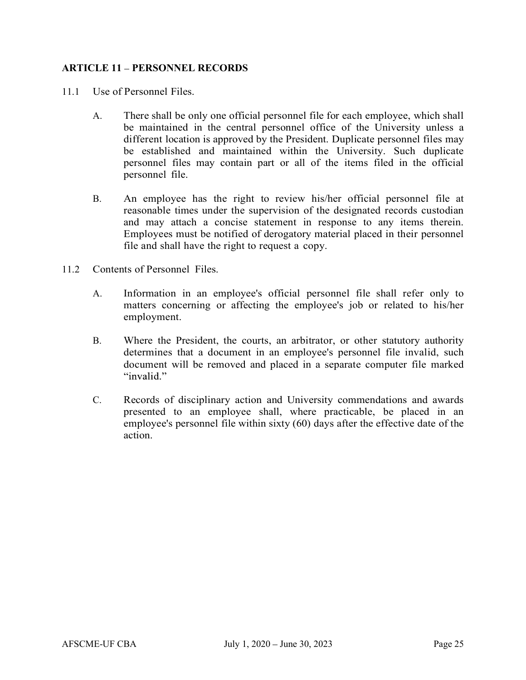#### ARTICLE 11 – PERSONNEL RECORDS

- 11.1 Use of Personnel Files.
	- A. There shall be only one official personnel file for each employee, which shall be maintained in the central personnel office of the University unless a different location is approved by the President. Duplicate personnel files may be established and maintained within the University. Such duplicate personnel files may contain part or all of the items filed in the official personnel file.<br>B. An employee has the right to review his/her official personnel file at
- reasonable times under the supervision of the designated records custodian and may attach a concise statement in response to any items therein. Employees must be notified of derogatory material placed in their personnel file and shall have the right to request a copy.<br>
11.2 Contents of Personnel Files.<br>
A. Information in an employee's official personnel file shall refer only to
- - matters concerning or affecting the employee's job or related to his/her employment.<br>
	B. Where the President, the courts, an arbitrator, or other statutory authority
	- determines that a document in an employee's personnel file invalid, such document will be removed and placed in a separate computer file marked "invalid."
	- C. Records of disciplinary action and University commendations and awards presented to an employee shall, where practicable, be placed in an employee's personnel file within sixty (60) days after the effective date of the action.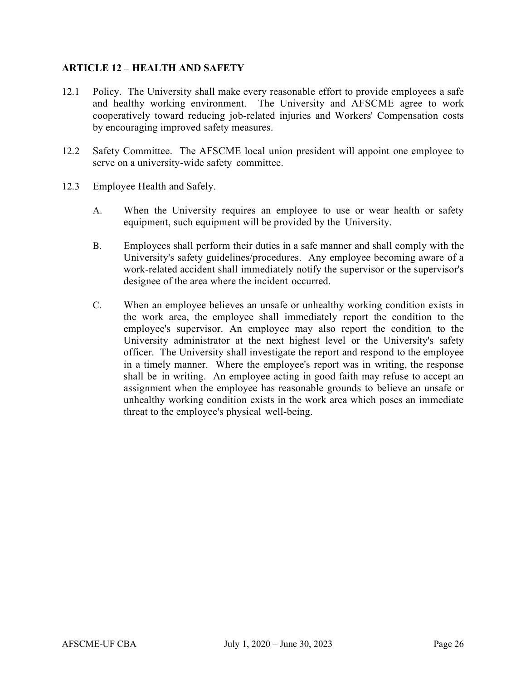# ARTICLE 12 - HEALTH AND SAFETY

- 12.1 Policy. The University shall make every reasonable effort to provide employees a safe and healthy working environment. The University and AFSCME agree to work cooperatively toward reducing job-related injuries and Workers' Compensation costs by encouraging improved safety measures.
- 12.2 Safety Committee. The AFSCME local union president will appoint one employee to serve on a university-wide safety committee.
- 12.3 Employee Health and Safely.
	- A. When the University requires an employee to use or wear health or safety equipment, such equipment will be provided by the University.
	- B. Employees shall perform their duties in a safe manner and shall comply with the University's safety guidelines/procedures. Any employee becoming aware of a work-related accident shall immediately notify the supervisor or the supervisor's designee of the area where the incident occurred.
	- C. When an employee believes an unsafe or unhealthy working condition exists in the work area, the employee shall immediately report the condition to the employee's supervisor. An employee may also report the condition to the University administrator at the next highest level or the University's safety officer. The University shall investigate the report and respond to the employee in a timely manner. Where the employee's report was in writing, the response shall be in writing. An employee acting in good faith may refuse to accept an assignment when the employee has reasonable grounds to believe an unsafe or unhealthy working condition exists in the work area which poses an immediate threat to the employee's physical well-being.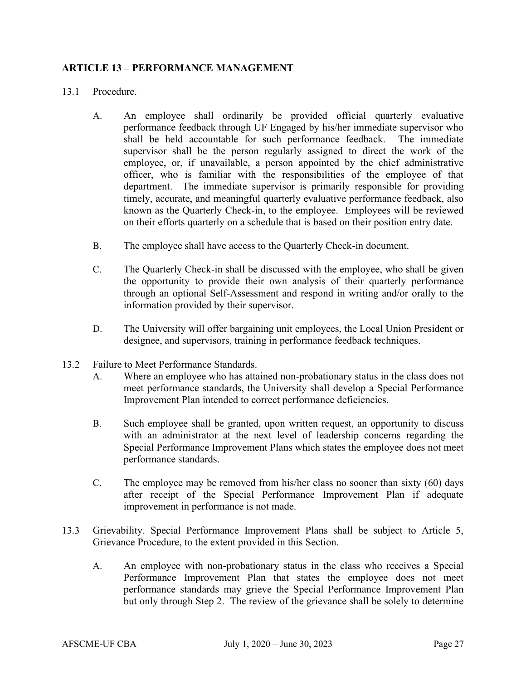#### ARTICLE 13 - PERFORMANCE MANAGEMENT

#### 13.1 Procedure.

- A. An employee shall ordinarily be provided official quarterly evaluative performance feedback through UF Engaged by his/her immediate supervisor who shall be held accountable for such performance feedback. The immediate supervisor shall be the person regularly assigned to direct the work of the employee, or, if unavailable, a person appointed by the chief administrative officer, who is familiar with the responsibilities of the employee of that department. The immediate supervisor is primarily responsible for providing timely, accurate, and meaningful quarterly evaluative performance feedback, also known as the Quarterly Check-in, to the employee. Employees will be reviewed on their efforts quarterly on a schedule that is based on their position entry date.
- B. The employee shall have access to the Quarterly Check-in document.
- C. The Quarterly Check-in shall be discussed with the employee, who shall be given the opportunity to provide their own analysis of their quarterly performance through an optional Self-Assessment and respond in writing and/or orally to the information provided by their supervisor.
- D. The University will offer bargaining unit employees, the Local Union President or designee, and supervisors, training in performance feedback techniques.
- 13.2 Failure to Meet Performance Standards.
	- A. Where an employee who has attained non-probationary status in the class does not meet performance standards, the University shall develop a Special Performance Improvement Plan intended to correct performance deficiencies.
	- B. Such employee shall be granted, upon written request, an opportunity to discuss with an administrator at the next level of leadership concerns regarding the Special Performance Improvement Plans which states the employee does not meet performance standards.
	- C. The employee may be removed from his/her class no sooner than sixty (60) days after receipt of the Special Performance Improvement Plan if adequate improvement in performance is not made.
- 13.3 Grievability. Special Performance Improvement Plans shall be subject to Article 5, Grievance Procedure, to the extent provided in this Section.
	- A. An employee with non-probationary status in the class who receives a Special Performance Improvement Plan that states the employee does not meet performance standards may grieve the Special Performance Improvement Plan but only through Step 2. The review of the grievance shall be solely to determine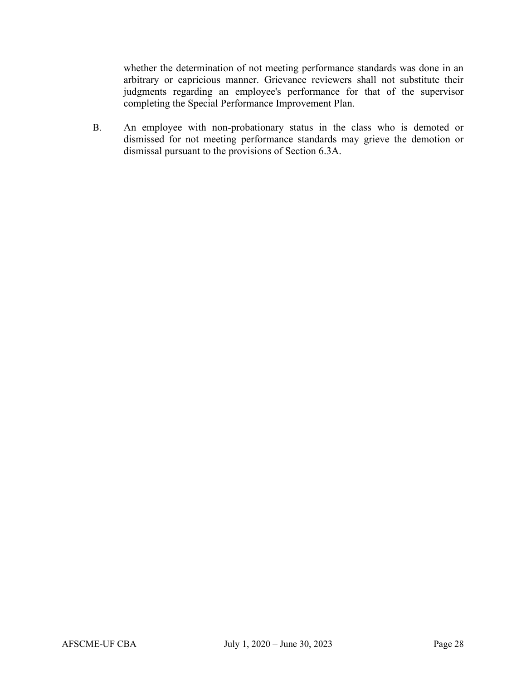whether the determination of not meeting performance standards was done in an arbitrary or capricious manner. Grievance reviewers shall not substitute their judgments regarding an employee's performance for that of the supervisor completing the Special Performance Improvement Plan.

B. An employee with non-probationary status in the class who is demoted or dismissed for not meeting performance standards may grieve the demotion or dismissal pursuant to the provisions of Section 6.3A.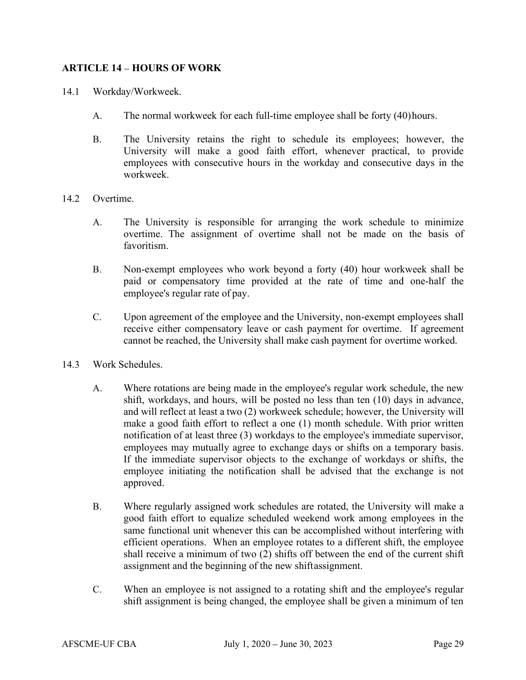#### ARTICLE 14 - HOURS OF WORK

- 14.1 Workday/Workweek.
	- A. The normal workweek for each full-time employee shall be forty (40) hours.
	- B. The University retains the right to schedule its employees; however, the University will make a good faith effort, whenever practical, to provide employees with consecutive hours in the workday and consecutive days in the workweek.
- 14.2 Overtime.
	- A. The University is responsible for arranging the work schedule to minimize overtime. The assignment of overtime shall not be made on the basis of favoritism.
	- B. Non-exempt employees who work beyond a forty (40) hour workweek shall be paid or compensatory time provided at the rate of time and one-half the employee's regular rate of pay.
	- C. Upon agreement of the employee and the University, non-exempt employees shall receive either compensatory leave or cash payment for overtime. If agreement cannot be reached, the University shall make cash payment for overtime worked.
- 14.3 Work Schedules.
	- A. Where rotations are being made in the employee's regular work schedule, the new shift, workdays, and hours, will be posted no less than ten (10) days in advance, and will reflect at least a two (2) workweek schedule; however, the University will make a good faith effort to reflect a one (1) month schedule. With prior written notification of at least three (3) workdays to the employee's immediate supervisor, employees may mutually agree to exchange days or shifts on a temporary basis. If the immediate supervisor objects to the exchange of workdays or shifts, the employee initiating the notification shall be advised that the exchange is not approved.
	- B. Where regularly assigned work schedules are rotated, the University will make a good faith effort to equalize scheduled weekend work among employees in the same functional unit whenever this can be accomplished without interfering with efficient operations. When an employee rotates to a different shift, the employee shall receive a minimum of two (2) shifts off between the end of the current shift assignment and the beginning of the new shift assignment.
	- C. When an employee is not assigned to a rotating shift and the employee's regular shift assignment is being changed, the employee shall be given a minimum of ten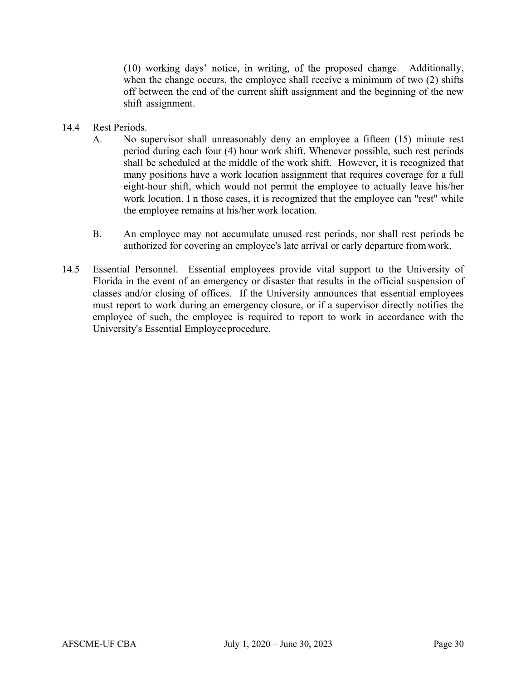(10) working days' notice, in writing, of the proposed change. Additionally, when the change occurs, the employee shall receive a minimum of two  $(2)$  shifts off between the end of the current shift assignment and the beginning of the new shift assignment.

#### 14.4 Rest Periods.

- A. No supervisor shall unreasonably deny an employee a fifteen (15) minute rest period during each four (4) hour work shift. Whenever possible, such rest periods shall be scheduled at the middle of the work shift. However, it is recognized that many positions have a work location assignment that requires coverage for a full eight-hour shift, which would not permit the employee to actually leave his/her work location. I n those cases, it is recognized that the employee can "rest" while the employee remains at his/her work location.
- B. An employee may not accumulate unused rest periods, nor shall rest periods be authorized for covering an employee's late arrival or early departure from work.
- 14.5 Essential Personnel. Essential employees provide vital support to the University of Florida in the event of an emergency or disaster that results in the official suspension of classes and/or closing of offices. If the University announces that essential employees must report to work during an emergency closure, or if a supervisor directly notifies the employee of such, the employee is required to report to work in accordance with the University's Essential Employee procedure.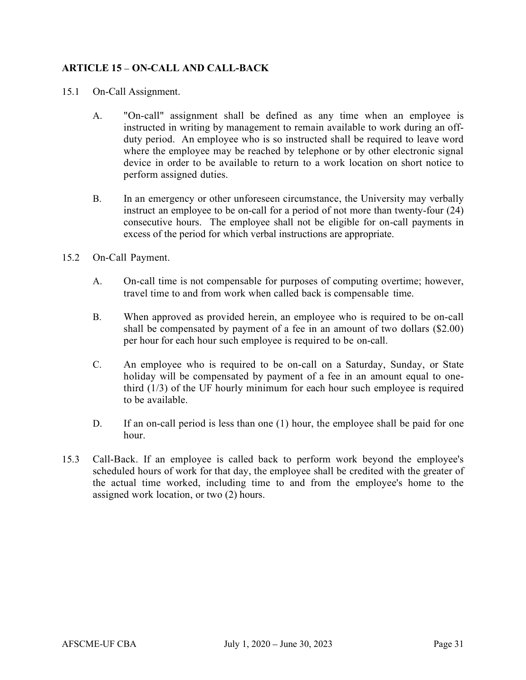# ARTICLE 15 – ON-CALL AND CALL-BACK

- 15.1 On-Call Assignment.
	- A. "On-call" assignment shall be defined as any time when an employee is instructed in writing by management to remain available to work during an offduty period. An employee who is so instructed shall be required to leave word where the employee may be reached by telephone or by other electronic signal device in order to be available to return to a work location on short notice to perform assigned duties.
	- B. In an emergency or other unforeseen circumstance, the University may verbally instruct an employee to be on-call for a period of not more than twenty-four (24) consecutive hours. The employee shall not be eligible for on-call payments in excess of the period for which verbal instructions are appropriate.
- 15.2 On-Call Payment.
	- A. On-call time is not compensable for purposes of computing overtime; however, travel time to and from work when called back is compensable time.
	- B. When approved as provided herein, an employee who is required to be on-call shall be compensated by payment of a fee in an amount of two dollars (\$2.00) per hour for each hour such employee is required to be on-call.
	- C. An employee who is required to be on-call on a Saturday, Sunday, or State holiday will be compensated by payment of a fee in an amount equal to onethird (1/3) of the UF hourly minimum for each hour such employee is required to be available.
	- D. If an on-call period is less than one (1) hour, the employee shall be paid for one hour.
- 15.3 Call-Back. If an employee is called back to perform work beyond the employee's scheduled hours of work for that day, the employee shall be credited with the greater of the actual time worked, including time to and from the employee's home to the assigned work location, or two (2) hours.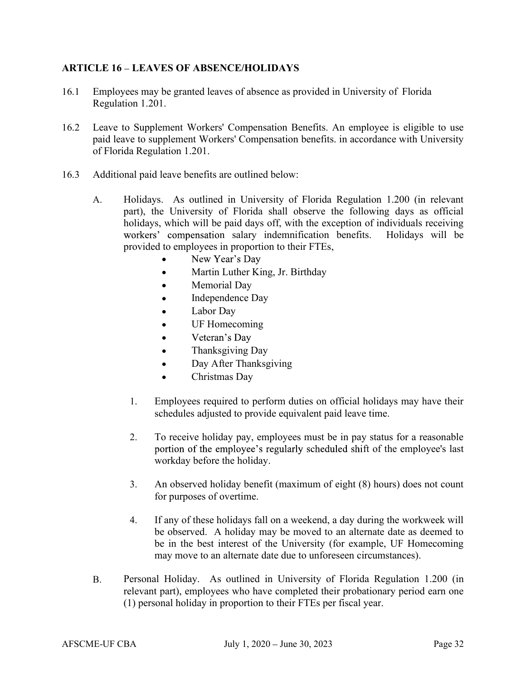#### ARTICLE 16 – LEAVES OF ABSENCE/HOLIDAYS

- 16.1 Employees may be granted leaves of absence as provided in University of Florida Regulation 1.201.
- 16.2 Leave to Supplement Workers' Compensation Benefits. An employee is eligible to use paid leave to supplement Workers' Compensation benefits. in accordance with University of Florida Regulation 1.201.
- 16.3 Additional paid leave benefits are outlined below:
	- A. Holidays. As outlined in University of Florida Regulation 1.200 (in relevant part), the University of Florida shall observe the following days as official holidays, which will be paid days off, with the exception of individuals receiving workers' compensation salary indemnification benefits. Holidays will be provided to employees in proportion to their FTEs,
		- New Year's Day
		- Martin Luther King, Jr. Birthday  $\bullet$
		- Memorial Day  $\bullet$
		- Independence Day  $\bullet$
		- Labor Day  $\bullet$
		- $\bullet$ UF Homecoming
		- Veteran's Day  $\bullet$
		- $\bullet$ Thanksgiving Day
		- Day After Thanksgiving  $\bullet$
		- Christmas Day
		- 1. Employees required to perform duties on official holidays may have their schedules adjusted to provide equivalent paid leave time.
		- 2. To receive holiday pay, employees must be in pay status for a reasonable portion of the employee's regularly scheduled shift of the employee's last workday before the holiday.
		- 3. An observed holiday benefit (maximum of eight (8) hours) does not count for purposes of overtime.
		- 4. If any of these holidays fall on a weekend, a day during the workweek will be observed. A holiday may be moved to an alternate date as deemed to be in the best interest of the University (for example, UF Homecoming may move to an alternate date due to unforeseen circumstances).
	- B. Personal Holiday. As outlined in University of Florida Regulation 1.200 (in relevant part), employees who have completed their probationary period earn one (1) personal holiday in proportion to their FTEs per fiscal year.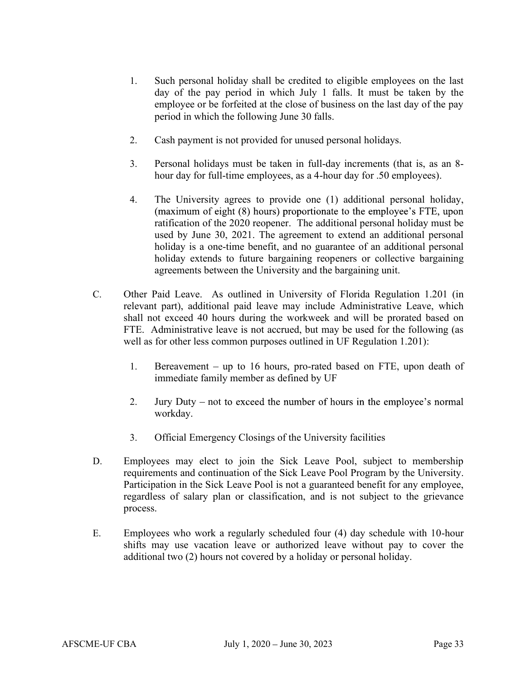- 1. Such personal holiday shall be credited to eligible employees on the last day of the pay period in which July 1 falls. It must be taken by the employee or be forfeited at the close of business on the last day of the pay period in which the following June 30 falls.
- 2. Cash payment is not provided for unused personal holidays.
- 3. Personal holidays must be taken in full-day increments (that is, as an 8 hour day for full-time employees, as a 4-hour day for .50 employees).
- 4. The University agrees to provide one (1) additional personal holiday, (maximum of eight (8) hours) proportionate to the employee's FTE, upon ratification of the 2020 reopener. The additional personal holiday must be used by June 30, 2021. The agreement to extend an additional personal holiday is a one-time benefit, and no guarantee of an additional personal holiday extends to future bargaining reopeners or collective bargaining agreements between the University and the bargaining unit.
- C. Other Paid Leave. As outlined in University of Florida Regulation 1.201 (in relevant part), additional paid leave may include Administrative Leave, which shall not exceed 40 hours during the workweek and will be prorated based on FTE. Administrative leave is not accrued, but may be used for the following (as well as for other less common purposes outlined in UF Regulation 1.201):
	- 1. Bereavement  $-$  up to 16 hours, pro-rated based on FTE, upon death of immediate family member as defined by UF
	- 2. Jury Duty not to exceed the number of hours in the employee's normal workday.
	- 3. Official Emergency Closings of the University facilities
- D. Employees may elect to join the Sick Leave Pool, subject to membership requirements and continuation of the Sick Leave Pool Program by the University. Participation in the Sick Leave Pool is not a guaranteed benefit for any employee, regardless of salary plan or classification, and is not subject to the grievance process.
- E. Employees who work a regularly scheduled four (4) day schedule with 10-hour shifts may use vacation leave or authorized leave without pay to cover the additional two (2) hours not covered by a holiday or personal holiday.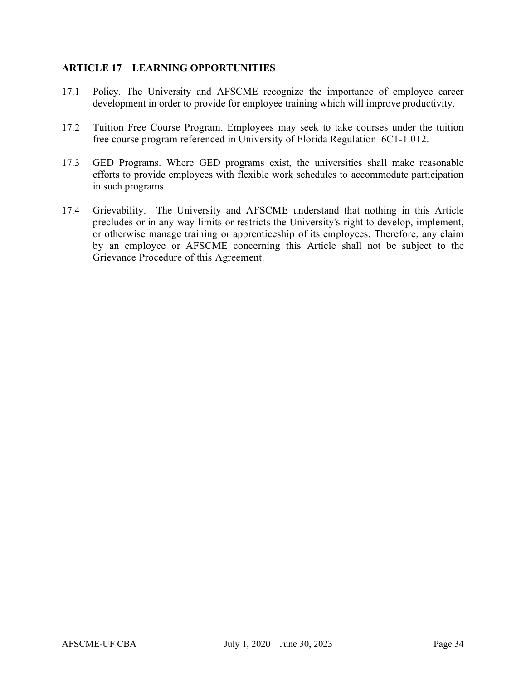#### ARTICLE 17 LEARNING OPPORTUNITIES

- 17.1 Policy. The University and AFSCME recognize the importance of employee career development in order to provide for employee training which will improve productivity.
- 17.2 Tuition Free Course Program. Employees may seek to take courses under the tuition free course program referenced in University of Florida Regulation 6C1-1.012.
- 17.3 GED Programs. Where GED programs exist, the universities shall make reasonable efforts to provide employees with flexible work schedules to accommodate participation in such programs.
- 17.4 Grievability. The University and AFSCME understand that nothing in this Article precludes or in any way limits or restricts the University's right to develop, implement, or otherwise manage training or apprenticeship of its employees. Therefore, any claim by an employee or AFSCME concerning this Article shall not be subject to the Grievance Procedure of this Agreement.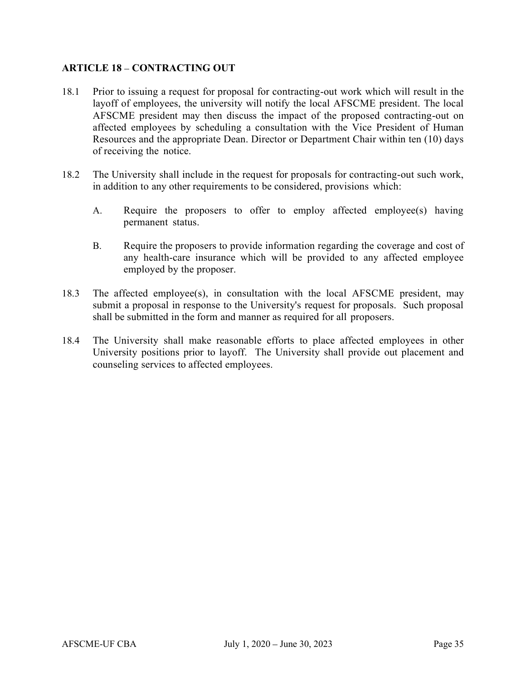#### **ARTICLE 18 - CONTRACTING OUT**

- 18.1 Prior to issuing a request for proposal for contracting-out work which will result in the layoff of employees, the university will notify the local AFSCME president. The local AFSCME president may then discuss the impact of the proposed contracting-out on affected employees by scheduling a consultation with the Vice President of Human Resources and the appropriate Dean. Director or Department Chair within ten (10) days of receiving the notice.
- 18.2 The University shall include in the request for proposals for contracting-out such work, in addition to any other requirements to be considered, provisions which:
	- A. Require the proposers to offer to employ affected employee(s) having permanent status.
	- B. Require the proposers to provide information regarding the coverage and cost of any health-care insurance which will be provided to any affected employee employed by the proposer.
- 18.3 The affected employee(s), in consultation with the local AFSCME president, may submit a proposal in response to the University's request for proposals. Such proposal shall be submitted in the form and manner as required for all proposers.
- 18.4 The University shall make reasonable efforts to place affected employees in other University positions prior to layoff. The University shall provide out placement and counseling services to affected employees.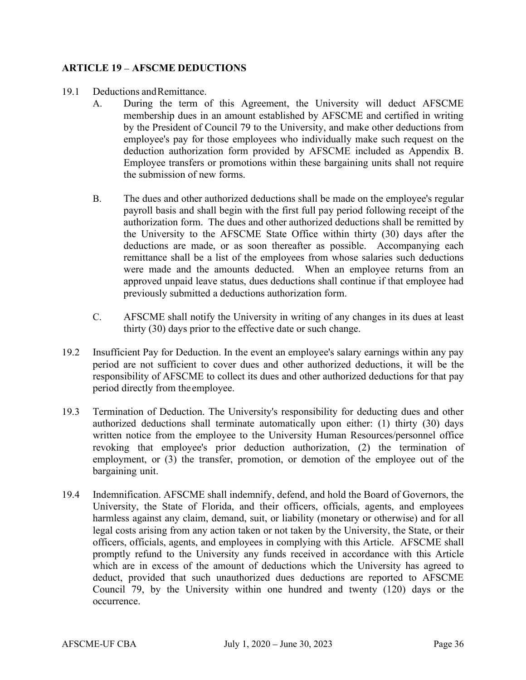#### **ARTICLE 19 - AFSCME DEDUCTIONS**

#### 19.1 Deductions and Remittance.

- A. During the term of this Agreement, the University will deduct AFSCME membership dues in an amount established by AFSCME and certified in writing by the President of Council 79 to the University, and make other deductions from employee's pay for those employees who individually make such request on the deduction authorization form provided by AFSCME included as Appendix B. Employee transfers or promotions within these bargaining units shall not require the submission of new forms.
- B. The dues and other authorized deductions shall be made on the employee's regular payroll basis and shall begin with the first full pay period following receipt of the authorization form. The dues and other authorized deductions shall be remitted by the University to the AFSCME State Office within thirty (30) days after the deductions are made, or as soon thereafter as possible. Accompanying each remittance shall be a list of the employees from whose salaries such deductions were made and the amounts deducted. When an employee returns from an approved unpaid leave status, dues deductions shall continue if that employee had previously submitted a deductions authorization form.
- C. AFSCME shall notify the University in writing of any changes in its dues at least thirty (30) days prior to the effective date or such change.
- 19.2 Insufficient Pay for Deduction. In the event an employee's salary earnings within any pay period are not sufficient to cover dues and other authorized deductions, it will be the responsibility of AFSCME to collect its dues and other authorized deductions for that pay period directly from the employee.
- 19.3 Termination of Deduction. The University's responsibility for deducting dues and other authorized deductions shall terminate automatically upon either: (1) thirty (30) days written notice from the employee to the University Human Resources/personnel office revoking that employee's prior deduction authorization, (2) the termination of employment, or (3) the transfer, promotion, or demotion of the employee out of the bargaining unit.
- 19.4 Indemnification. AFSCME shall indemnify, defend, and hold the Board of Governors, the University, the State of Florida, and their officers, officials, agents, and employees harmless against any claim, demand, suit, or liability (monetary or otherwise) and for all legal costs arising from any action taken or not taken by the University, the State, or their officers, officials, agents, and employees in complying with this Article. AFSCME shall promptly refund to the University any funds received in accordance with this Article which are in excess of the amount of deductions which the University has agreed to deduct, provided that such unauthorized dues deductions are reported to AFSCME Council 79, by the University within one hundred and twenty (120) days or the occurrence.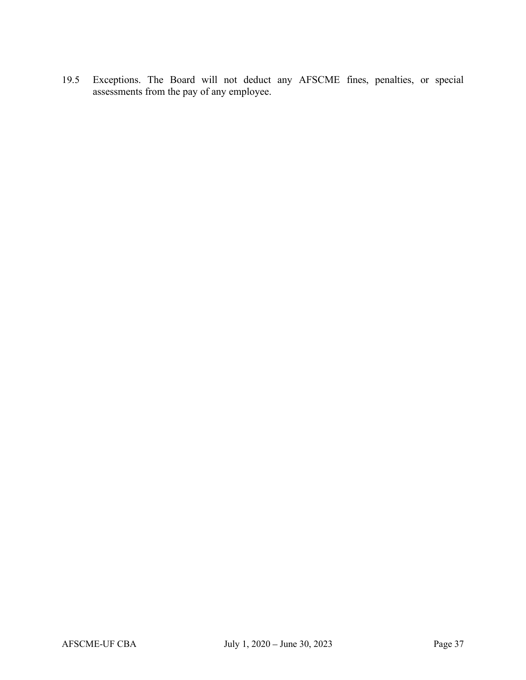19.5 Exceptions. The Board will not deduct any AFSCME fines, penalties, or special assessments from the pay of any employee.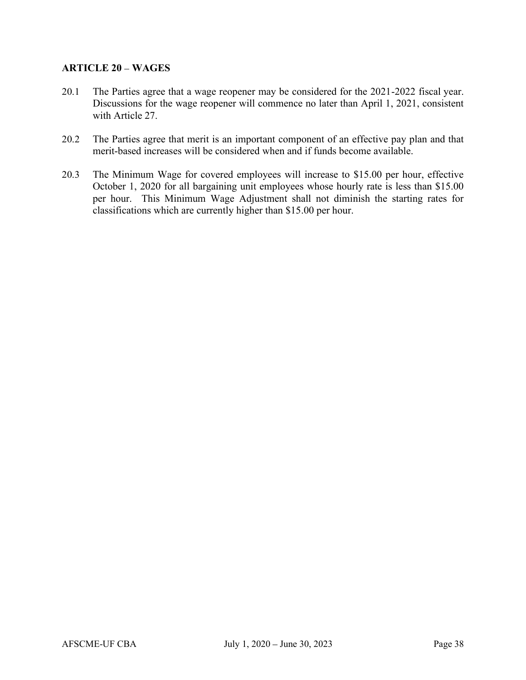#### **ARTICLE 20 - WAGES**

- 20.1 The Parties agree that a wage reopener may be considered for the 2021-2022 fiscal year. Discussions for the wage reopener will commence no later than April 1, 2021, consistent with Article 27.
- 20.2 The Parties agree that merit is an important component of an effective pay plan and that merit-based increases will be considered when and if funds become available.
- 20.3 The Minimum Wage for covered employees will increase to \$15.00 per hour, effective October 1, 2020 for all bargaining unit employees whose hourly rate is less than \$15.00 per hour. This Minimum Wage Adjustment shall not diminish the starting rates for classifications which are currently higher than \$15.00 per hour.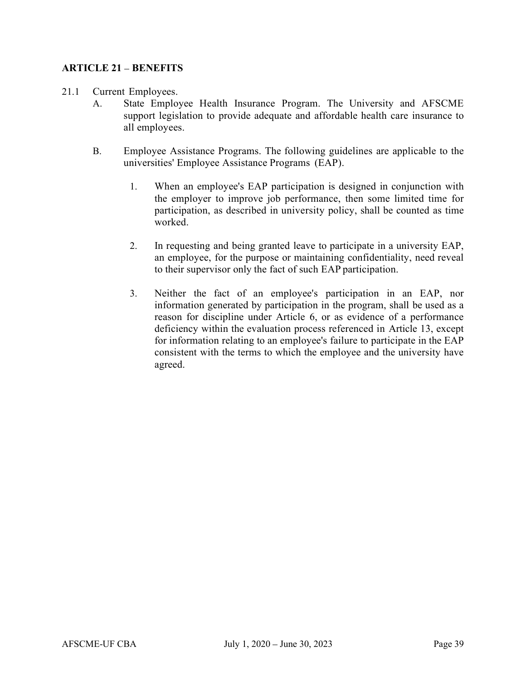#### ARTICLE 21 - BENEFITS

- 21.1 Current Employees.
	- A. State Employee Health Insurance Program. The University and AFSCME support legislation to provide adequate and affordable health care insurance to all employees.
	- B. Employee Assistance Programs. The following guidelines are applicable to the universities' Employee Assistance Programs (EAP).
		- 1. When an employee's EAP participation is designed in conjunction with the employer to improve job performance, then some limited time for participation, as described in university policy, shall be counted as time worked.
		- 2. In requesting and being granted leave to participate in a university EAP, an employee, for the purpose or maintaining confidentiality, need reveal to their supervisor only the fact of such EAP participation.
		- 3. Neither the fact of an employee's participation in an EAP, nor information generated by participation in the program, shall be used as a reason for discipline under Article 6, or as evidence of a performance deficiency within the evaluation process referenced in Article 13, except for information relating to an employee's failure to participate in the EAP consistent with the terms to which the employee and the university have agreed.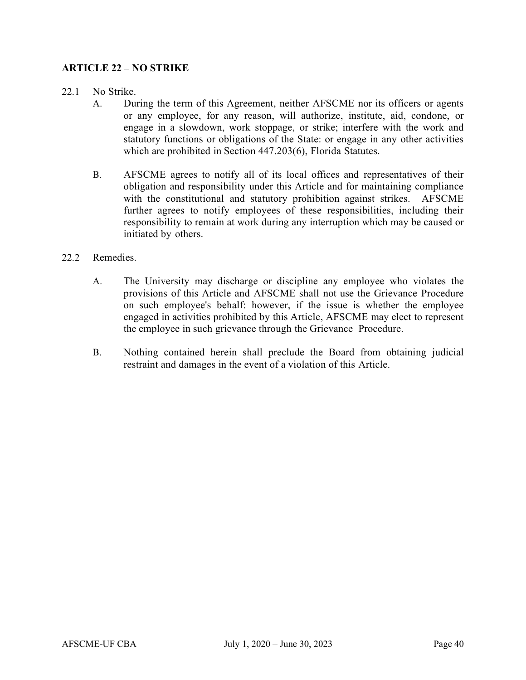#### ARTICLE 22 – NO STRIKE

#### 22.1 No Strike.

- A. During the term of this Agreement, neither AFSCME nor its officers or agents or any employee, for any reason, will authorize, institute, aid, condone, or engage in a slowdown, work stoppage, or strike; interfere with the work and statutory functions or obligations of the State: or engage in any other activities which are prohibited in Section 447.203(6), Florida Statutes.
- B. AFSCME agrees to notify all of its local offices and representatives of their obligation and responsibility under this Article and for maintaining compliance with the constitutional and statutory prohibition against strikes. AFSCME further agrees to notify employees of these responsibilities, including their responsibility to remain at work during any interruption which may be caused or initiated by others.

#### 22.2 Remedies.

- A. The University may discharge or discipline any employee who violates the provisions of this Article and AFSCME shall not use the Grievance Procedure on such employee's behalf: however, if the issue is whether the employee engaged in activities prohibited by this Article, AFSCME may elect to represent the employee in such grievance through the Grievance Procedure.
- B. Nothing contained herein shall preclude the Board from obtaining judicial restraint and damages in the event of a violation of this Article.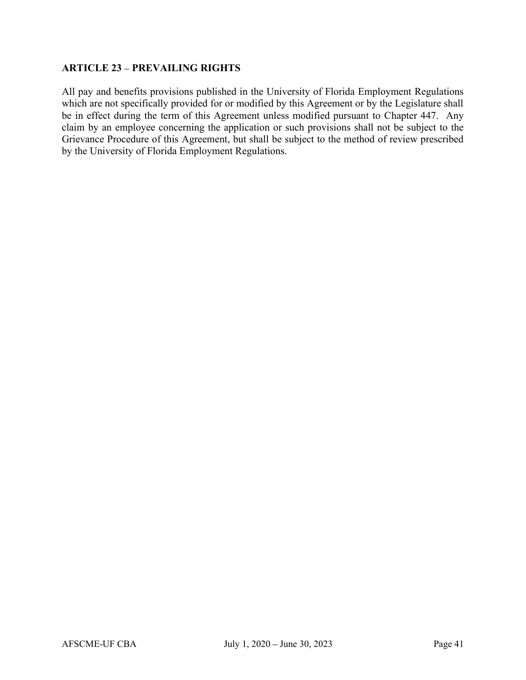#### **ARTICLE 23 - PREVAILING RIGHTS**

All pay and benefits provisions published in the University of Florida Employment Regulations which are not specifically provided for or modified by this Agreement or by the Legislature shall be in effect during the term of this Agreement unless modified pursuant to Chapter 447. Any claim by an employee concerning the application or such provisions shall not be subject to the Grievance Procedure of this Agreement, but shall be subject to the method of review prescribed by the University of Florida Employment Regulations.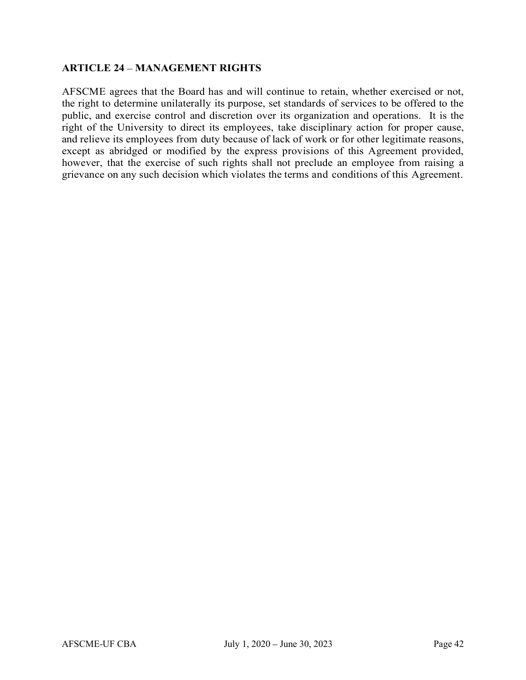#### **ARTICLE 24 - MANAGEMENT RIGHTS**

AFSCME agrees that the Board has and will continue to retain, whether exercised or not, the right to determine unilaterally its purpose, set standards of services to be offered to the public, and exercise control and discretion over its organization and operations. It is the right of the University to direct its employees, take disciplinary action for proper cause, and relieve its employees from duty because of lack of work or for other legitimate reasons, except as abridged or modified by the express provisions of this Agreement provided, however, that the exercise of such rights shall not preclude an employee from raising a grievance on any such decision which violates the terms and conditions of this Agreement.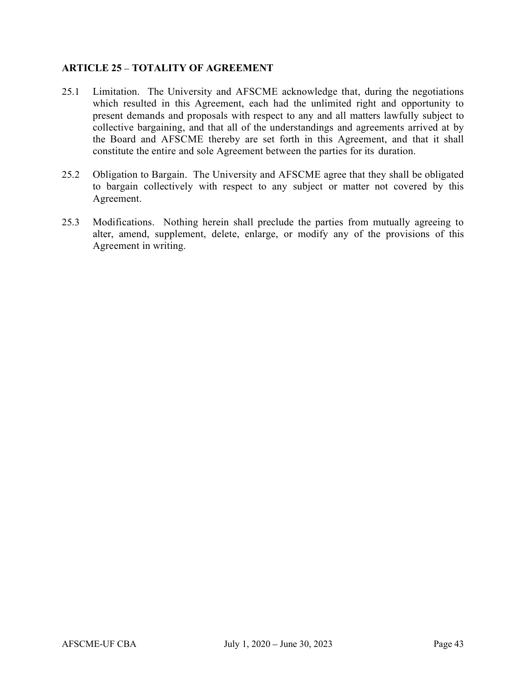#### ARTICLE 25 - TOTALITY OF AGREEMENT

- 25.1 Limitation. The University and AFSCME acknowledge that, during the negotiations which resulted in this Agreement, each had the unlimited right and opportunity to present demands and proposals with respect to any and all matters lawfully subject to collective bargaining, and that all of the understandings and agreements arrived at by the Board and AFSCME thereby are set forth in this Agreement, and that it shall constitute the entire and sole Agreement between the parties for its duration.
- 25.2 Obligation to Bargain. The University and AFSCME agree that they shall be obligated to bargain collectively with respect to any subject or matter not covered by this Agreement.
- 25.3 Modifications. Nothing herein shall preclude the parties from mutually agreeing to alter, amend, supplement, delete, enlarge, or modify any of the provisions of this Agreement in writing.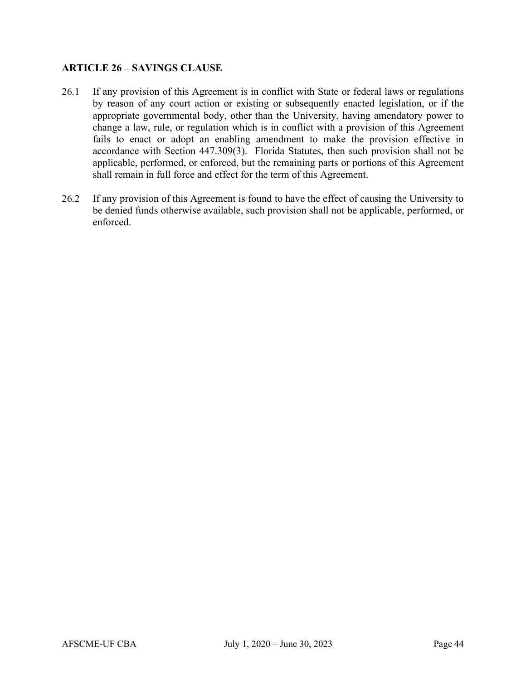#### **ARTICLE 26 - SAVINGS CLAUSE**

- 26.1 If any provision of this Agreement is in conflict with State or federal laws or regulations by reason of any court action or existing or subsequently enacted legislation, or if the appropriate governmental body, other than the University, having amendatory power to change a law, rule, or regulation which is in conflict with a provision of this Agreement fails to enact or adopt an enabling amendment to make the provision effective in accordance with Section 447.309(3). Florida Statutes, then such provision shall not be applicable, performed, or enforced, but the remaining parts or portions of this Agreement shall remain in full force and effect for the term of this Agreement.
- 26.2 If any provision of this Agreement is found to have the effect of causing the University to be denied funds otherwise available, such provision shall not be applicable, performed, or enforced.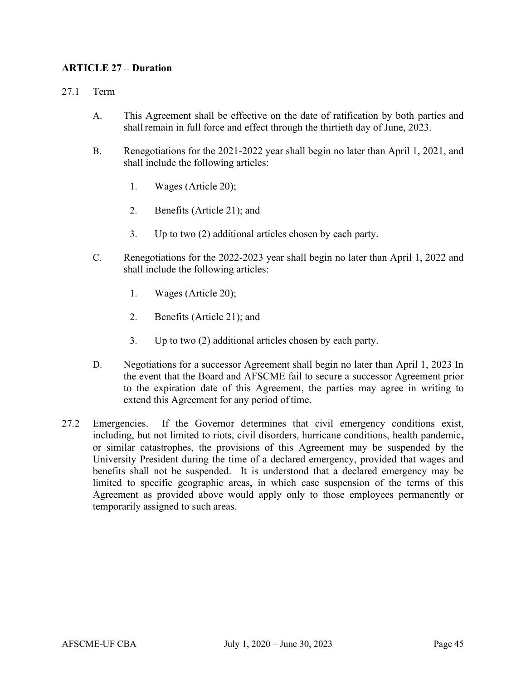#### **ARTICLE 27 – Duration**

#### 27.1 Term

- A. This Agreement shall be effective on the date of ratification by both parties and shall remain in full force and effect through the thirtieth day of June, 2023.
- B. Renegotiations for the 2021-2022 year shall begin no later than April 1, 2021, and shall include the following articles:
	- 1. Wages (Article 20);
	- 2. Benefits (Article 21); and
	- 3. Up to two (2) additional articles chosen by each party.
- C. Renegotiations for the 2022-2023 year shall begin no later than April 1, 2022 and shall include the following articles:
	- 1. Wages (Article 20);
	- 2. Benefits (Article 21); and
	- 3. Up to two (2) additional articles chosen by each party.
- D. Negotiations for a successor Agreement shall begin no later than April 1, 2023 In the event that the Board and AFSCME fail to secure a successor Agreement prior to the expiration date of this Agreement, the parties may agree in writing to extend this Agreement for any period of time.
- 27.2 Emergencies. If the Governor determines that civil emergency conditions exist, including, but not limited to riots, civil disorders, hurricane conditions, health pandemic, or similar catastrophes, the provisions of this Agreement may be suspended by the University President during the time of a declared emergency, provided that wages and benefits shall not be suspended. It is understood that a declared emergency may be limited to specific geographic areas, in which case suspension of the terms of this Agreement as provided above would apply only to those employees permanently or temporarily assigned to such areas.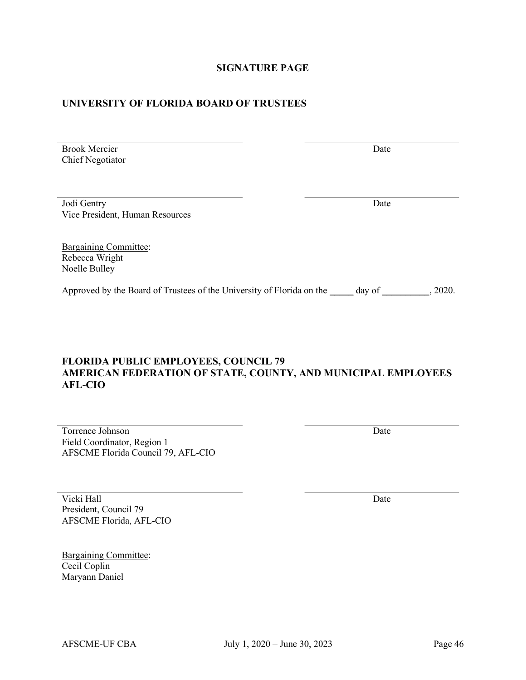# SIGNATURE PAGE

#### UNIVERSITY OF FLORIDA BOARD OF TRUSTEES

Jodi Gentry Vice President, Human Resources **Date** Date Bargaining Committee: Rebecca Wright Noelle Bulley

Approved by the Board of Trustees of the University of Florida on the \_\_\_\_ day of \_\_\_\_\_\_\_\_, 2020.

# FLORIDA PUBLIC EMPLOYEES, COUNCIL 79 AMERICAN FEDERATION OF STATE, COUNTY, AND MUNICIPAL EMPLOYEES AFL-CIO

Torrence Johnson Field Coordinator, Region 1 AFSCME Florida Council 79, AFL-CIO

Vicki Hall President, Council 79 AFSCME Florida, AFL-CIO

Brook Mercier Chief Negotiator

Bargaining Committee: Cecil Coplin Maryann Daniel

**Date** Date

**Date** Date

**Date** Date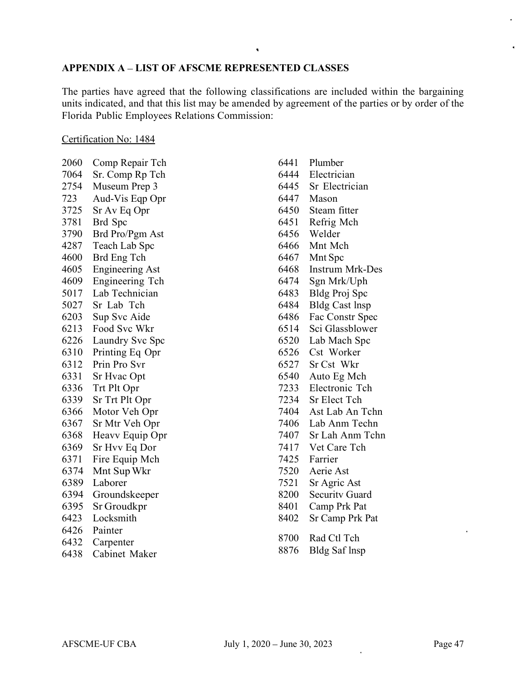# APPENDIX A - LIST OF AFSCME REPRESENTED CLASSES

The parties have agreed that the following classifications are included within the bargaining units indicated, and that this list may be amended by agreement of the parties or by order of the Florida Public Employees Relations Commission:

#### Certification No: 1484

| 2060 | Comp Repair Tch        |
|------|------------------------|
| 7064 | Sr. Comp Rp Tch        |
| 2754 | Museum Prep 3          |
| 723  | Aud-Vis Eqp Opr        |
| 3725 | Sr Av Eq Opr           |
| 3781 | Brd Spc                |
| 3790 | Brd Pro/Pgm Ast        |
| 4287 | Teach Lab Spc          |
| 4600 | Brd Eng Tch            |
| 4605 | <b>Engineering Ast</b> |
| 4609 | Engineering Tch        |
| 5017 | Lab Technician         |
| 5027 | Sr Lab Tch             |
| 6203 | Sup Svc Aide           |
| 6213 | Food Svc Wkr           |
| 6226 | Laundry Svc Spc        |
| 6310 | Printing Eq Opr        |
| 6312 | Prin Pro Svr           |
| 6331 | Sr Hvac Opt            |
| 6336 | Trt Plt Opr            |
| 6339 | Sr Trt Plt Opr         |
| 6366 | Motor Veh Opr          |
| 6367 | Sr Mtr Veh Opr         |
| 6368 | Heavy Equip Opr        |
| 6369 | Sr Hvv Eq Dor          |
| 6371 | Fire Equip Mch         |
| 6374 | Mnt Sup Wkr            |
| 6389 | Laborer                |
| 6394 | Groundskeeper          |
| 6395 | Sr Groudkpr            |
| 6423 | Locksmith              |
| 6426 | Painter                |
| 6432 | Carpenter              |
| 6438 | Cabinet Maker          |

| 6441 | Plumber                |
|------|------------------------|
| 6444 | Electrician            |
| 6445 | Sr Electrician         |
| 6447 | Mason                  |
| 6450 | Steam fitter           |
| 6451 | Refrig Mch             |
| 6456 | Welder                 |
| 6466 | Mnt Mch                |
| 6467 | Mnt Spc                |
| 6468 | <b>Instrum Mrk-Des</b> |
| 6474 | Sgn Mrk/Uph            |
| 6483 | Bldg Proj Spc          |
| 6484 | <b>Bldg Cast Insp</b>  |
| 6486 | Fac Constr Spec        |
| 6514 | Sci Glassblower        |
| 6520 | Lab Mach Spc           |
| 6526 | Cst Worker             |
| 6527 | Sr Cst Wkr             |
| 6540 | Auto Eg Mch            |
| 7233 | Electronic Tch         |
| 7234 | <b>Sr Elect Tch</b>    |
| 7404 | Ast Lab An Tchn        |
| 7406 | Lab Anm Techn          |
| 7407 | Sr Lah Anm Tchn        |
| 7417 | Vet Care Tch           |
| 7425 | Farrier                |
| 7520 | Aerie Ast              |
| 7521 | Sr Agric Ast           |
| 8200 | <b>Security Guard</b>  |
| 8401 | Camp Prk Pat           |
| 8402 | Sr Camp Prk Pat        |
| 8700 | Rad Ctl Tch            |
| 8876 | <b>Bldg Saf Insp</b>   |
|      |                        |

 $\omega$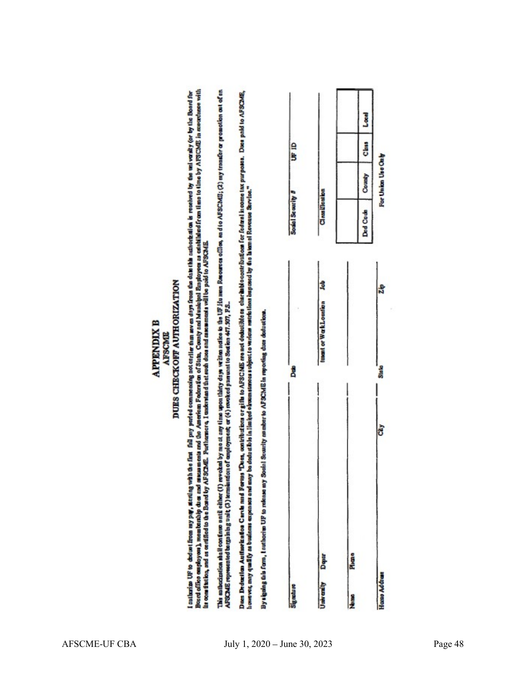# DUES CHECKORT AUTHORIZATION **APPENDIX B** AFSCMIL

I sultarize UF to dedust from my pay, stating vah the first full pay period commonsing notes;lies the development fact the scale of the technical is received by the boat for the Board for<br>Beard office employers, membersh d

This antherization shall confinent (in revoluted by me at any time upon thing days without do the UP ifu non Resources offlow, and to APSCME; (2) my transfor or promotion out of an<br>APSCME represented torgeming unit (3) ter

Dass Deducita Auttorization Carve med Forms "Dres, cantributions or gifts to AFSCME are not dodesible on charibitions for foderal income tax purposes. Does poid to AFSCME,<br>however, may qualify as business area may be deduc

By signing this form, I earlhorize UP to release my Social Security number to APSCME in reporting date deductions

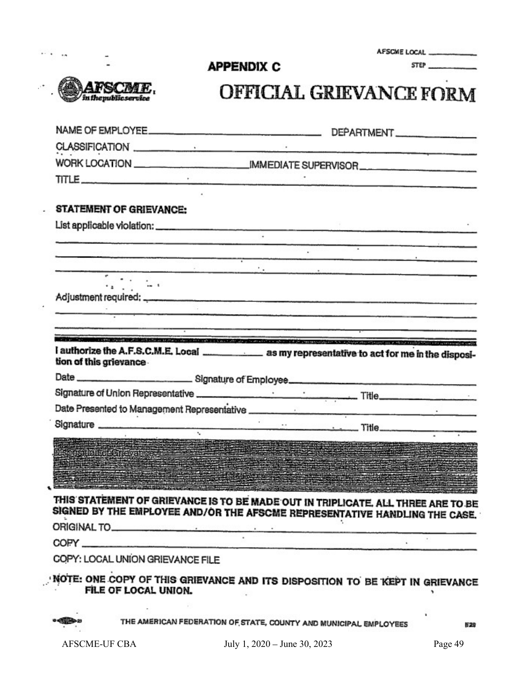#### AFSCME LOCAL

STEP

# OFFICIAL GRIEVANCE FORM

|                                          | TITLE $\qquad \qquad$                                                                                                                                                                                                                                                                                                                                                                                                              |
|------------------------------------------|------------------------------------------------------------------------------------------------------------------------------------------------------------------------------------------------------------------------------------------------------------------------------------------------------------------------------------------------------------------------------------------------------------------------------------|
| <b>STATEMENT OF GRIEVANCE:</b>           |                                                                                                                                                                                                                                                                                                                                                                                                                                    |
|                                          |                                                                                                                                                                                                                                                                                                                                                                                                                                    |
|                                          |                                                                                                                                                                                                                                                                                                                                                                                                                                    |
|                                          |                                                                                                                                                                                                                                                                                                                                                                                                                                    |
|                                          | <u> 1990 - Januar Bernard, martin angletar (f. 1980)</u>                                                                                                                                                                                                                                                                                                                                                                           |
| $\overline{\mathbb{Q}(\mathbb{C}^2)}$ as |                                                                                                                                                                                                                                                                                                                                                                                                                                    |
|                                          |                                                                                                                                                                                                                                                                                                                                                                                                                                    |
|                                          |                                                                                                                                                                                                                                                                                                                                                                                                                                    |
|                                          | and the company of the company of the company of the company of the company of the company of the company of the company of the company of the company of the company of the company of the company of the company of the comp<br><u> 1989 - 1989 - 1989 - 1989 - 1989 - 1989 - 1989 - 1989 - 1989 - 1989 - 1989 - 1989 - 1989 - 1989 - 1989 - 1989 - 1989 - 1989 - 1989 - 1989 - 1989 - 1989 - 1989 - 1989 - 1989 - 1989 - 19</u> |
| tion of this grievance.                  | I authorize the A.F.S.C.M.E. Local _______________ as my representative to act for me in the disposi-                                                                                                                                                                                                                                                                                                                              |
|                                          |                                                                                                                                                                                                                                                                                                                                                                                                                                    |
|                                          |                                                                                                                                                                                                                                                                                                                                                                                                                                    |
|                                          | Date ___________________________Signature of Employee____________________________                                                                                                                                                                                                                                                                                                                                                  |
|                                          |                                                                                                                                                                                                                                                                                                                                                                                                                                    |
|                                          |                                                                                                                                                                                                                                                                                                                                                                                                                                    |
|                                          |                                                                                                                                                                                                                                                                                                                                                                                                                                    |
|                                          | an<br>Di Steps Hio Hoje Gjerë ve njoje dhe një shtat në shtat në shtat në kundës në shtat në shtat në shtat në shtat<br>Di Steps dhe një shtat në shtat në shtat në shtat në shtat në shtat në shtat në shtat në shtat në shtat në s                                                                                                                                                                                               |
|                                          |                                                                                                                                                                                                                                                                                                                                                                                                                                    |
|                                          |                                                                                                                                                                                                                                                                                                                                                                                                                                    |
|                                          | THIS STATEMENT OF GRIEVANCE IS TO BE MADE OUT IN TRIPLICATE. ALL THREE ARE TO BE<br>SIGNED BY THE EMPLOYEE AND/OR THE AFSCME REPRESENTATIVE HANDLING THE CASE.                                                                                                                                                                                                                                                                     |
|                                          |                                                                                                                                                                                                                                                                                                                                                                                                                                    |
| COPY: LOCAL UNION GRIEVANCE FILE         |                                                                                                                                                                                                                                                                                                                                                                                                                                    |

**APPENDIX C** 

THE AMERICAN FEDERATION OF STATE, COUNTY AND MUNICIPAL EMPLOYEES

528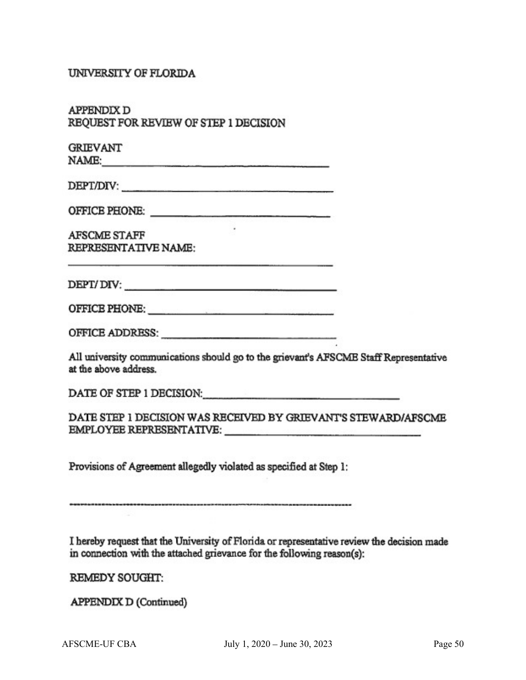#### UNIVERSITY OF FLORIDA

| APPENDIX D                            |  |  |
|---------------------------------------|--|--|
| REQUEST FOR REVIEW OF STEP 1 DECISION |  |  |

| <b>GRIEVANT</b> |
|-----------------|
| NAME:           |

DEPT/DIV:

**AFSCME STAFF REPRESENTATIVE NAME:** 

 $DEFI/DIV:$ 

All university communications should go to the grievant's AFSCME Staff Representative at the above address.

DATE OF STEP 1 DECISION: The contract of the contract of the contract of the contract of the contract of the contract of the contract of the contract of the contract of the contract of the contract of the contract of the c

DATE STEP 1 DECISION WAS RECEIVED BY GRIEVANT'S STEWARD/AFSCME 

Provisions of Agreement allegedly violated as specified at Step 1:

I hereby request that the University of Florida or representative review the decision made in connection with the attached grievance for the following reason(s):

**REMEDY SOUGHT:** 

APPENDIX D (Continued)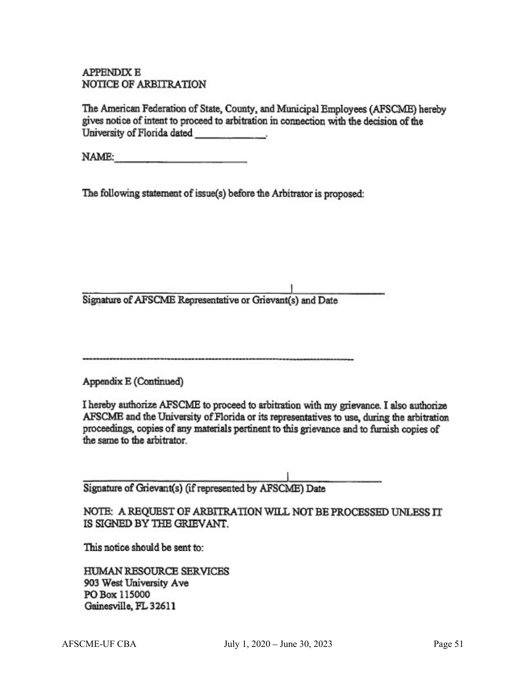**APPENDIX E** NOTICE OF ARBITRATION

The American Federation of State, County, and Municipal Employees (AFSCME) hereby gives notice of intent to proceed to arbitration in connection with the decision of the University of Florida dated

NAME:

The following statement of issue(s) before the Arbitrator is proposed:

Signature of AFSCME Representative or Grievant(s) and Date

Appendix E (Continued)

I hereby authorize AFSCME to proceed to arbitration with my grievance. I also authorize AFSCME and the University of Florida or its representatives to use, during the arbitration proceedings, copies of any materials pertinent to this grievance and to furnish copies of the same to the arbitrator.

Signature of Grievant(s) (if represented by AFSCME) Date

NOTE: A REQUEST OF ARBITRATION WILL NOT BE PROCESSED UNLESS IT IS SIGNED BY THE GRIEVANT.

This notice should be sent to:

HUMAN RESOURCE SERVICES 903 West University Ave PO Box 115000 Gainesville, FL 32611